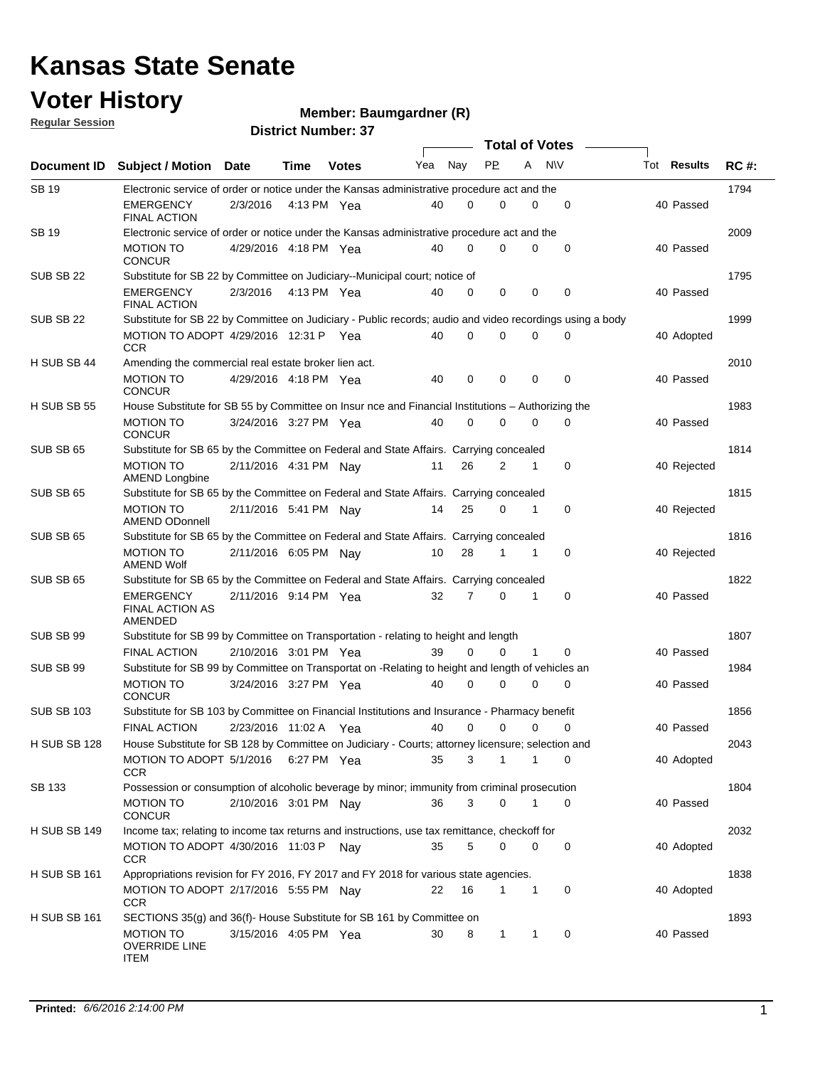#### **Voter History**

**Member: Baumgardner (R)** 

**Regular Session**

| <b>District Number: 37</b> |  |
|----------------------------|--|

|                     |                                                                                                          |                       |             |              |     |             | <b>Total of Votes</b> |              |             |             |             |
|---------------------|----------------------------------------------------------------------------------------------------------|-----------------------|-------------|--------------|-----|-------------|-----------------------|--------------|-------------|-------------|-------------|
|                     | Document ID Subject / Motion Date                                                                        |                       | Time        | <b>Votes</b> | Yea | Nay         | <b>PP</b>             | A            | <b>NV</b>   | Tot Results | <b>RC#:</b> |
| <b>SB19</b>         | Electronic service of order or notice under the Kansas administrative procedure act and the              |                       |             |              |     |             |                       |              |             |             | 1794        |
|                     | <b>EMERGENCY</b><br><b>FINAL ACTION</b>                                                                  | 2/3/2016              | 4:13 PM Yea |              | 40  | $\mathbf 0$ | 0                     | 0            | 0           | 40 Passed   |             |
| SB 19               | Electronic service of order or notice under the Kansas administrative procedure act and the              |                       |             |              |     |             |                       |              |             |             | 2009        |
|                     | <b>MOTION TO</b><br><b>CONCUR</b>                                                                        | 4/29/2016 4:18 PM Yea |             |              | 40  | $\mathbf 0$ | 0                     | 0            | $\mathbf 0$ | 40 Passed   |             |
| SUB SB 22           | Substitute for SB 22 by Committee on Judiciary--Municipal court; notice of                               |                       |             |              |     |             |                       |              |             |             | 1795        |
|                     | EMERGENCY<br><b>FINAL ACTION</b>                                                                         | 2/3/2016              | 4:13 PM Yea |              | 40  | $\mathbf 0$ | $\mathbf 0$           | $\mathbf 0$  | $\mathbf 0$ | 40 Passed   |             |
| SUB SB 22           | Substitute for SB 22 by Committee on Judiciary - Public records; audio and video recordings using a body |                       |             |              |     |             |                       |              |             |             | 1999        |
|                     | MOTION TO ADOPT 4/29/2016 12:31 P Yea<br><b>CCR</b>                                                      |                       |             |              | 40  | $\Omega$    | 0                     | 0            | $\mathbf 0$ | 40 Adopted  |             |
| H SUB SB 44         | Amending the commercial real estate broker lien act.                                                     |                       |             |              |     |             |                       |              |             |             | 2010        |
|                     | <b>MOTION TO</b><br><b>CONCUR</b>                                                                        | 4/29/2016 4:18 PM Yea |             |              | 40  | 0           | 0                     | 0            | $\mathbf 0$ | 40 Passed   |             |
| H SUB SB 55         | House Substitute for SB 55 by Committee on Insur nce and Financial Institutions – Authorizing the        |                       |             |              |     |             |                       |              |             |             | 1983        |
|                     | <b>MOTION TO</b><br><b>CONCUR</b>                                                                        | 3/24/2016 3:27 PM Yea |             |              | 40  | $\Omega$    | $\Omega$              | $\Omega$     | $\Omega$    | 40 Passed   |             |
| SUB SB 65           | Substitute for SB 65 by the Committee on Federal and State Affairs. Carrying concealed                   |                       |             |              |     |             |                       |              |             |             | 1814        |
|                     | <b>MOTION TO</b><br><b>AMEND Longbine</b>                                                                | 2/11/2016 4:31 PM Nay |             |              | 11  | 26          | 2                     | 1            | $\mathbf 0$ | 40 Rejected |             |
| SUB SB 65           | Substitute for SB 65 by the Committee on Federal and State Affairs. Carrying concealed                   |                       |             |              |     |             |                       |              |             |             | 1815        |
|                     | <b>MOTION TO</b><br><b>AMEND ODonnell</b>                                                                | 2/11/2016 5:41 PM Nay |             |              | 14  | 25          | 0                     | 1            | 0           | 40 Rejected |             |
| SUB SB 65           | Substitute for SB 65 by the Committee on Federal and State Affairs. Carrying concealed                   |                       |             |              |     |             |                       |              |             |             | 1816        |
|                     | <b>MOTION TO</b><br><b>AMEND Wolf</b>                                                                    | 2/11/2016 6:05 PM Nav |             |              | 10  | 28          |                       | 1            | $\mathbf 0$ | 40 Rejected |             |
| SUB SB 65           | Substitute for SB 65 by the Committee on Federal and State Affairs. Carrying concealed                   |                       |             |              |     |             |                       |              |             |             | 1822        |
|                     | <b>EMERGENCY</b><br><b>FINAL ACTION AS</b><br>AMENDED                                                    | 2/11/2016 9:14 PM Yea |             |              | 32  | 7           | 0                     | 1            | $\mathbf 0$ | 40 Passed   |             |
| SUB SB 99           | Substitute for SB 99 by Committee on Transportation - relating to height and length                      |                       |             |              |     |             |                       |              |             |             | 1807        |
|                     | <b>FINAL ACTION</b>                                                                                      | 2/10/2016 3:01 PM Yea |             |              | 39  | $\Omega$    | $\Omega$              | 1            | 0           | 40 Passed   |             |
| SUB SB 99           | Substitute for SB 99 by Committee on Transportat on -Relating to height and length of vehicles an        |                       |             |              |     |             |                       |              |             |             | 1984        |
|                     | <b>MOTION TO</b><br><b>CONCUR</b>                                                                        | 3/24/2016 3:27 PM Yea |             |              | 40  | 0           | 0                     | $\Omega$     | $\mathbf 0$ | 40 Passed   |             |
| <b>SUB SB 103</b>   | Substitute for SB 103 by Committee on Financial Institutions and Insurance - Pharmacy benefit            |                       |             |              |     |             |                       |              |             |             | 1856        |
|                     | <b>FINAL ACTION</b>                                                                                      | 2/23/2016 11:02 A Yea |             |              | 40  | $\Omega$    | $\Omega$              | $\Omega$     | $\Omega$    | 40 Passed   |             |
| <b>H SUB SB 128</b> | House Substitute for SB 128 by Committee on Judiciary - Courts; attorney licensure; selection and        |                       |             |              |     |             |                       |              |             |             | 2043        |
|                     | MOTION TO ADOPT 5/1/2016 6:27 PM Yea<br><b>CCR</b>                                                       |                       |             |              | 35  | 3           | $\mathbf{1}$          | $\mathbf{1}$ | 0           | 40 Adopted  |             |
| SB 133              | Possession or consumption of alcoholic beverage by minor; immunity from criminal prosecution             |                       |             |              |     |             |                       |              |             |             | 1804        |
|                     | <b>MOTION TO</b><br><b>CONCUR</b>                                                                        | 2/10/2016 3:01 PM Nay |             |              | 36  | 3           | 0                     | 1            | $\mathbf 0$ | 40 Passed   |             |
| H SUB SB 149        | Income tax; relating to income tax returns and instructions, use tax remittance, checkoff for            |                       |             |              |     |             |                       |              |             |             | 2032        |
|                     | MOTION TO ADOPT 4/30/2016 11:03 P<br><b>CCR</b>                                                          |                       |             | Nay          | 35  | 5           | 0                     | 0            | 0           | 40 Adopted  |             |
| <b>H SUB SB 161</b> | Appropriations revision for FY 2016, FY 2017 and FY 2018 for various state agencies.                     |                       |             |              |     |             |                       |              |             |             | 1838        |
|                     | MOTION TO ADOPT 2/17/2016 5:55 PM Nay<br><b>CCR</b>                                                      |                       |             |              | 22  | 16          | 1                     | $\mathbf{1}$ | 0           | 40 Adopted  |             |
| <b>H SUB SB 161</b> | SECTIONS 35(g) and 36(f)- House Substitute for SB 161 by Committee on                                    |                       |             |              |     |             |                       |              |             |             | 1893        |
|                     | <b>MOTION TO</b><br><b>OVERRIDE LINE</b><br>ITEM                                                         | 3/15/2016 4:05 PM Yea |             |              | 30  | 8           | $\mathbf{1}$          | 1            | 0           | 40 Passed   |             |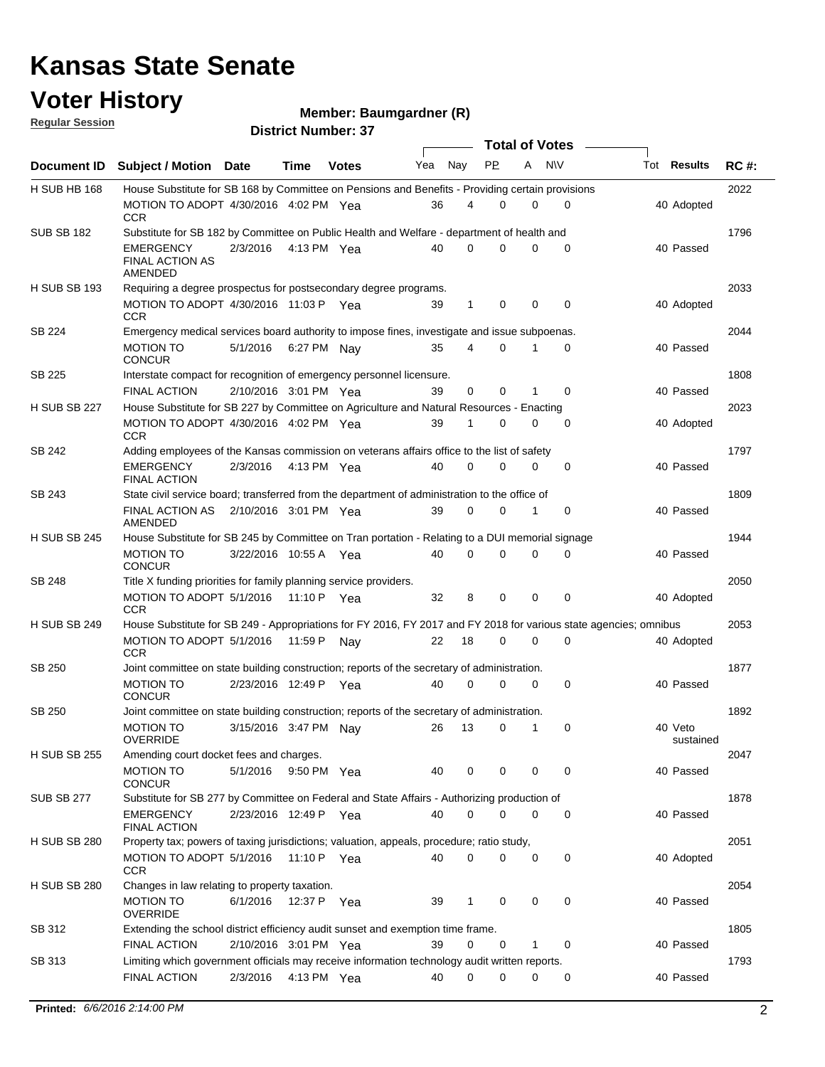#### **Voter History Regular Session**

**Member: Baumgardner (R)** 

| <u>noquial oceanuli</u> |                                                                                                                                   |                       |             | <b>District Number: 37</b> |     |              |             |             |                  |                      |             |
|-------------------------|-----------------------------------------------------------------------------------------------------------------------------------|-----------------------|-------------|----------------------------|-----|--------------|-------------|-------------|------------------|----------------------|-------------|
|                         |                                                                                                                                   |                       |             |                            |     |              |             |             | Total of Votes – |                      |             |
| <b>Document ID</b>      | Subject / Motion Date                                                                                                             |                       | Time        | <b>Votes</b>               | Yea | Nay          | <b>PP</b>   | A           | <b>NV</b>        | Tot <b>Results</b>   | <b>RC#:</b> |
| <b>H SUB HB 168</b>     | House Substitute for SB 168 by Committee on Pensions and Benefits - Providing certain provisions                                  |                       |             |                            |     |              |             |             |                  |                      | 2022        |
|                         | MOTION TO ADOPT 4/30/2016 4:02 PM Yea<br><b>CCR</b>                                                                               |                       |             |                            | 36  | 4            | 0           | 0           | 0                | 40 Adopted           |             |
| <b>SUB SB 182</b>       | Substitute for SB 182 by Committee on Public Health and Welfare - department of health and                                        |                       |             |                            |     |              |             |             |                  |                      | 1796        |
|                         | <b>EMERGENCY</b><br><b>FINAL ACTION AS</b><br><b>AMENDED</b>                                                                      | 2/3/2016              |             | 4:13 PM Yea                | 40  | $\Omega$     | $\Omega$    | $\Omega$    | $\Omega$         | 40 Passed            |             |
| <b>H SUB SB 193</b>     | Requiring a degree prospectus for postsecondary degree programs.                                                                  |                       |             |                            |     |              |             |             |                  |                      | 2033        |
|                         | MOTION TO ADOPT 4/30/2016 11:03 P Yea<br><b>CCR</b>                                                                               |                       |             |                            | 39  | $\mathbf{1}$ | 0           | $\mathbf 0$ | 0                | 40 Adopted           |             |
| SB 224                  | Emergency medical services board authority to impose fines, investigate and issue subpoenas.<br><b>MOTION TO</b><br><b>CONCUR</b> | 5/1/2016              | 6:27 PM Nay |                            | 35  | 4            | $\mathbf 0$ | 1           | 0                | 40 Passed            | 2044        |
| SB 225                  | Interstate compact for recognition of emergency personnel licensure.                                                              |                       |             |                            |     |              |             |             |                  |                      | 1808        |
|                         | <b>FINAL ACTION</b>                                                                                                               | 2/10/2016 3:01 PM Yea |             |                            | 39  | $\mathbf 0$  | 0           | 1           | $\mathbf 0$      | 40 Passed            |             |
| <b>H SUB SB 227</b>     | House Substitute for SB 227 by Committee on Agriculture and Natural Resources - Enacting                                          |                       |             |                            |     |              |             |             |                  |                      | 2023        |
|                         | MOTION TO ADOPT 4/30/2016 4:02 PM Yea<br><b>CCR</b>                                                                               |                       |             |                            | 39  | 1            | $\Omega$    | $\Omega$    | $\mathbf 0$      | 40 Adopted           |             |
| SB 242                  | Adding employees of the Kansas commission on veterans affairs office to the list of safety                                        |                       |             |                            |     |              |             |             |                  |                      | 1797        |
|                         | <b>EMERGENCY</b><br><b>FINAL ACTION</b>                                                                                           | 2/3/2016              |             | 4:13 PM Yea                | 40  | 0            | 0           | 0           | 0                | 40 Passed            |             |
| SB 243                  | State civil service board; transferred from the department of administration to the office of                                     |                       |             |                            |     |              |             |             |                  |                      | 1809        |
|                         | <b>FINAL ACTION AS</b><br>AMENDED                                                                                                 | 2/10/2016 3:01 PM Yea |             |                            | 39  | 0            | $\mathbf 0$ | 1           | 0                | 40 Passed            |             |
| <b>H SUB SB 245</b>     | House Substitute for SB 245 by Committee on Tran portation - Relating to a DUI memorial signage                                   |                       |             |                            |     |              |             |             |                  |                      | 1944        |
|                         | <b>MOTION TO</b><br><b>CONCUR</b>                                                                                                 | 3/22/2016 10:55 A Yea |             |                            | 40  | $\Omega$     | $\Omega$    | 0           | $\Omega$         | 40 Passed            |             |
| <b>SB 248</b>           | Title X funding priorities for family planning service providers.                                                                 |                       |             |                            |     |              |             |             |                  |                      | 2050        |
|                         | MOTION TO ADOPT 5/1/2016<br><b>CCR</b>                                                                                            |                       | 11:10 PYea  |                            | 32  | 8            | 0           | 0           | 0                | 40 Adopted           |             |
| <b>H SUB SB 249</b>     | House Substitute for SB 249 - Appropriations for FY 2016, FY 2017 and FY 2018 for various state agencies; omnibus                 |                       |             |                            |     |              |             |             |                  |                      | 2053        |
|                         | MOTION TO ADOPT 5/1/2016<br><b>CCR</b>                                                                                            |                       | 11:59 P     | Nav                        | 22  | 18           | 0           | 0           | 0                | 40 Adopted           |             |
| SB 250                  | Joint committee on state building construction; reports of the secretary of administration.<br><b>MOTION TO</b>                   | 2/23/2016 12:49 P Yea |             |                            | 40  | 0            | 0           | 0           | 0                | 40 Passed            | 1877        |
|                         | <b>CONCUR</b>                                                                                                                     |                       |             |                            |     |              |             |             |                  |                      |             |
| <b>SB 250</b>           | Joint committee on state building construction; reports of the secretary of administration.                                       |                       |             |                            |     |              |             |             |                  |                      | 1892        |
|                         | MOTION TO<br><b>OVERRIDE</b>                                                                                                      |                       |             | 3/15/2016 3:47 PM Nay      |     |              | 26 13 0 1   |             | $\Omega$         | 40 Veto<br>sustained |             |
| <b>H SUB SB 255</b>     | Amending court docket fees and charges.                                                                                           |                       |             |                            |     |              |             |             |                  |                      | 2047        |
|                         | <b>MOTION TO</b><br><b>CONCUR</b>                                                                                                 | 5/1/2016 9:50 PM Yea  |             |                            | 40  | 0            | 0           | 0           | 0                | 40 Passed            |             |
| <b>SUB SB 277</b>       | Substitute for SB 277 by Committee on Federal and State Affairs - Authorizing production of                                       |                       |             |                            |     |              |             |             |                  |                      | 1878        |
|                         | <b>EMERGENCY</b><br><b>FINAL ACTION</b>                                                                                           | 2/23/2016 12:49 P Yea |             |                            | 40  | 0            | 0           | 0           | 0                | 40 Passed            |             |
| <b>H SUB SB 280</b>     | Property tax; powers of taxing jurisdictions; valuation, appeals, procedure; ratio study,<br>MOTION TO ADOPT 5/1/2016 11:10 P Yea |                       |             |                            | 40  | 0            | 0           | 0           | 0                | 40 Adopted           | 2051        |
|                         | <b>CCR</b>                                                                                                                        |                       |             |                            |     |              |             |             |                  |                      |             |
| <b>H SUB SB 280</b>     | Changes in law relating to property taxation.<br><b>MOTION TO</b>                                                                 | 6/1/2016 12:37 P Yea  |             |                            |     | $\mathbf{1}$ | 0           | 0           | 0                | 40 Passed            | 2054        |
|                         | <b>OVERRIDE</b>                                                                                                                   |                       |             |                            | 39  |              |             |             |                  |                      |             |
| SB 312                  | Extending the school district efficiency audit sunset and exemption time frame.<br><b>FINAL ACTION</b>                            |                       |             |                            |     | 0            | 0           | 1           |                  |                      | 1805        |
| SB 313                  | Limiting which government officials may receive information technology audit written reports.                                     | 2/10/2016 3:01 PM Yea |             |                            | 39  |              |             |             | 0                | 40 Passed            | 1793        |
|                         | <b>FINAL ACTION</b>                                                                                                               | 2/3/2016              |             | 4:13 PM Yea                | 40  | 0            | $\mathbf 0$ | 0           | 0                | 40 Passed            |             |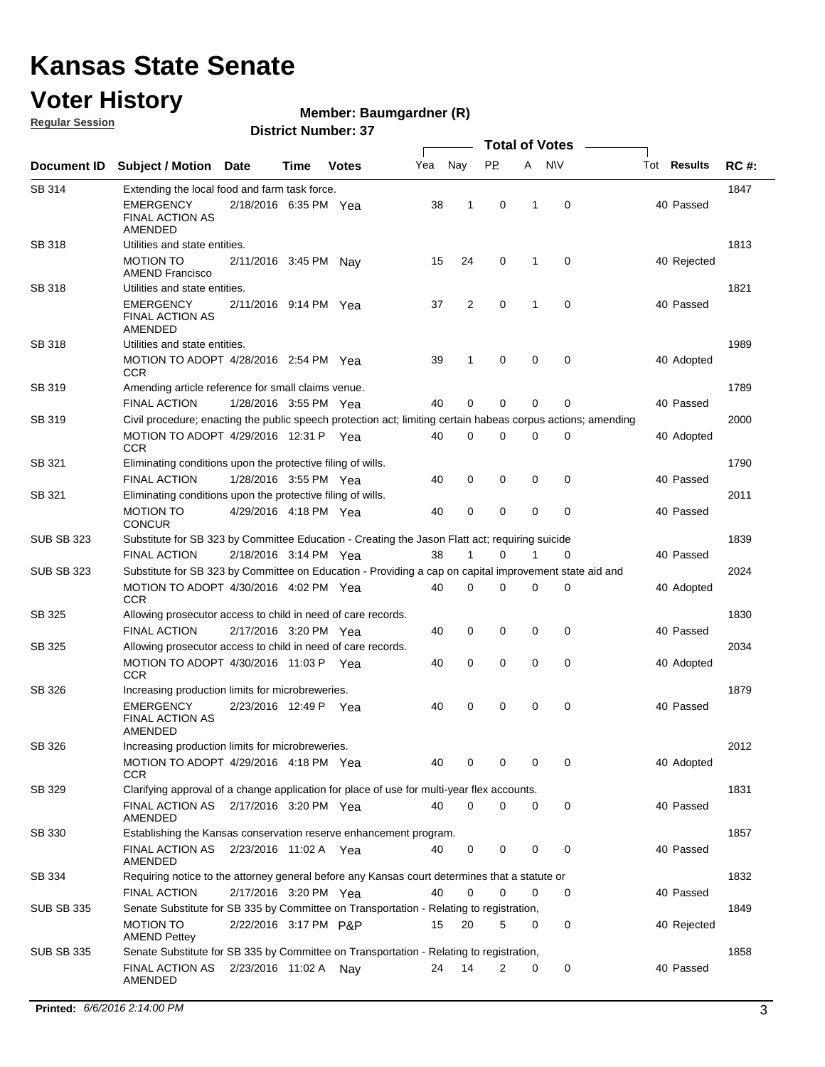### **Voter History**

**Regular Session**

#### **Member: Baumgardner (R)**

|                   |                                                                                                              |                       |      |              |     |     | <b>Total of Votes</b> |              |             |                    |             |
|-------------------|--------------------------------------------------------------------------------------------------------------|-----------------------|------|--------------|-----|-----|-----------------------|--------------|-------------|--------------------|-------------|
| Document ID       | <b>Subject / Motion Date</b>                                                                                 |                       | Time | <b>Votes</b> | Yea | Nay | <b>PP</b>             | A            | <b>NV</b>   | Tot <b>Results</b> | <b>RC#:</b> |
| SB 314            | Extending the local food and farm task force.                                                                |                       |      |              |     |     |                       |              |             |                    | 1847        |
|                   | EMERGENCY<br><b>FINAL ACTION AS</b><br>AMENDED                                                               | 2/18/2016 6:35 PM Yea |      |              | 38  | 1   | $\mathbf 0$           | 1            | 0           | 40 Passed          |             |
| SB 318            | Utilities and state entities.<br><b>MOTION TO</b>                                                            | 2/11/2016 3:45 PM     |      | Nay          | 15  | 24  | 0                     | 1            | 0           | 40 Rejected        | 1813        |
|                   | <b>AMEND Francisco</b>                                                                                       |                       |      |              |     |     |                       |              |             |                    |             |
| <b>SB 318</b>     | Utilities and state entities.<br><b>EMERGENCY</b><br><b>FINAL ACTION AS</b><br>AMENDED                       | 2/11/2016 9:14 PM Yea |      |              | 37  | 2   | $\mathbf 0$           | $\mathbf{1}$ | $\mathbf 0$ | 40 Passed          | 1821        |
| SB 318            | Utilities and state entities.                                                                                |                       |      |              |     |     |                       |              |             |                    | 1989        |
|                   | MOTION TO ADOPT 4/28/2016 2:54 PM Yea<br>CCR                                                                 |                       |      |              | 39  | 1   | 0                     | $\mathbf 0$  | 0           | 40 Adopted         |             |
| SB 319            | Amending article reference for small claims venue.                                                           |                       |      |              |     |     |                       |              |             |                    | 1789        |
|                   | <b>FINAL ACTION</b>                                                                                          | 1/28/2016 3:55 PM Yea |      |              | 40  | 0   | 0                     | $\mathbf 0$  | 0           | 40 Passed          |             |
| SB 319            | Civil procedure; enacting the public speech protection act; limiting certain habeas corpus actions; amending |                       |      |              |     |     |                       |              |             |                    | 2000        |
|                   | MOTION TO ADOPT 4/29/2016 12:31 P Yea<br><b>CCR</b>                                                          |                       |      |              | 40  | 0   | 0                     | 0            | 0           | 40 Adopted         |             |
| SB 321            | Eliminating conditions upon the protective filing of wills.                                                  |                       |      |              |     |     |                       |              |             |                    | 1790        |
|                   | <b>FINAL ACTION</b>                                                                                          | 1/28/2016 3:55 PM Yea |      |              | 40  | 0   | 0                     | 0            | 0           | 40 Passed          |             |
| SB 321            | Eliminating conditions upon the protective filing of wills.<br>MOTION TO<br>CONCUR                           | 4/29/2016 4:18 PM Yea |      |              | 40  | 0   | 0                     | $\mathbf 0$  | 0           | 40 Passed          | 2011        |
| <b>SUB SB 323</b> | Substitute for SB 323 by Committee Education - Creating the Jason Flatt act; requiring suicide               |                       |      |              |     |     |                       |              |             |                    | 1839        |
|                   | <b>FINAL ACTION</b>                                                                                          | 2/18/2016 3:14 PM Yea |      |              | 38  | 1   | 0                     | 1            | 0           | 40 Passed          |             |
| <b>SUB SB 323</b> | Substitute for SB 323 by Committee on Education - Providing a cap on capital improvement state aid and       |                       |      |              |     |     |                       |              |             |                    | 2024        |
|                   | MOTION TO ADOPT 4/30/2016 4:02 PM Yea<br>CCR                                                                 |                       |      |              | 40  | 0   | 0                     | $\mathbf 0$  | 0           | 40 Adopted         |             |
| SB 325            | Allowing prosecutor access to child in need of care records.                                                 |                       |      |              |     |     |                       |              |             |                    | 1830        |
|                   | <b>FINAL ACTION</b>                                                                                          | 2/17/2016 3:20 PM Yea |      |              | 40  | 0   | 0                     | 0            | 0           | 40 Passed          |             |
| SB 325            | Allowing prosecutor access to child in need of care records.                                                 |                       |      |              |     |     |                       |              |             |                    | 2034        |
|                   | MOTION TO ADOPT 4/30/2016 11:03 P Yea<br>CCR                                                                 |                       |      |              | 40  | 0   | 0                     | 0            | 0           | 40 Adopted         |             |
| SB 326            | Increasing production limits for microbreweries.                                                             |                       |      |              |     |     |                       |              |             |                    | 1879        |
|                   | EMERGENCY<br><b>FINAL ACTION AS</b><br>AMENDED                                                               | 2/23/2016 12:49 P Yea |      |              | 40  | 0   | 0                     | 0            | 0           | 40 Passed          |             |
| SB 326            | Increasing production limits for microbreweries.                                                             |                       |      |              |     |     |                       |              |             |                    | 2012        |
|                   | MOTION TO ADOPT 4/29/2016 4:18 PM Yea<br>CCR                                                                 |                       |      |              | 40  | 0   | 0                     | 0            | 0           | 40 Adopted         |             |
| SB 329            | Clarifying approval of a change application for place of use for multi-year flex accounts.                   |                       |      |              |     |     |                       |              |             |                    | 1831        |
|                   | FINAL ACTION AS<br><b>AMENDED</b>                                                                            | 2/17/2016 3:20 PM Yea |      |              | 40  | 0   | 0                     | 0            | 0           | 40 Passed          |             |
| SB 330            | Establishing the Kansas conservation reserve enhancement program.                                            |                       |      |              |     |     |                       |              |             |                    | 1857        |
|                   | FINAL ACTION AS  2/23/2016  11:02 A  Yea<br><b>AMENDED</b>                                                   |                       |      |              | 40  | 0   | 0                     | 0            | 0           | 40 Passed          |             |
| SB 334            | Requiring notice to the attorney general before any Kansas court determines that a statute or                |                       |      |              |     |     |                       |              |             |                    | 1832        |
|                   | <b>FINAL ACTION</b>                                                                                          | 2/17/2016 3:20 PM Yea |      |              | 40  | 0   | 0                     | 0            | 0           | 40 Passed          |             |
| <b>SUB SB 335</b> | Senate Substitute for SB 335 by Committee on Transportation - Relating to registration,                      |                       |      |              |     |     |                       |              |             |                    | 1849        |
|                   | MOTION TO<br><b>AMEND Pettey</b>                                                                             | 2/22/2016 3:17 PM P&P |      |              | 15  | 20  | 5                     | 0            | 0           | 40 Rejected        |             |
| <b>SUB SB 335</b> | Senate Substitute for SB 335 by Committee on Transportation - Relating to registration,                      |                       |      |              |     |     |                       |              |             |                    | 1858        |
|                   | FINAL ACTION AS<br>AMENDED                                                                                   | 2/23/2016 11:02 A Nay |      |              | 24  | 14  | 2                     | 0            | 0           | 40 Passed          |             |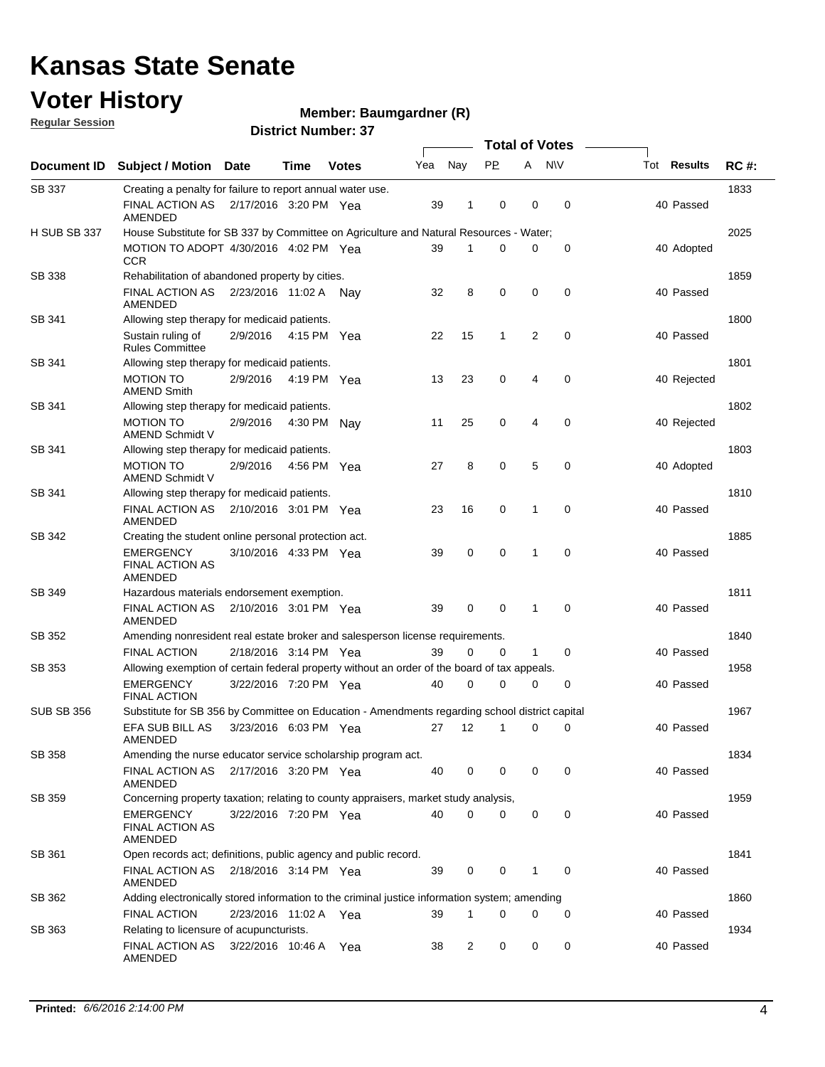### **Voter History**

**Regular Session**

#### **Member: Baumgardner (R)**

|                     |                                                                                                |                       |             |              |     |             |           |   | <b>Total of Votes</b> |                    |             |
|---------------------|------------------------------------------------------------------------------------------------|-----------------------|-------------|--------------|-----|-------------|-----------|---|-----------------------|--------------------|-------------|
| Document ID         | <b>Subject / Motion</b>                                                                        | <b>Date</b>           | Time        | <b>Votes</b> | Yea | Nay         | <b>PP</b> | A | <b>NV</b>             | Tot <b>Results</b> | <b>RC#:</b> |
| SB 337              | Creating a penalty for failure to report annual water use.                                     |                       |             |              |     |             |           |   |                       |                    | 1833        |
|                     | FINAL ACTION AS<br>AMENDED                                                                     | 2/17/2016 3:20 PM Yea |             |              | 39  | 1           | 0         | 0 | 0                     | 40 Passed          |             |
| <b>H SUB SB 337</b> | House Substitute for SB 337 by Committee on Agriculture and Natural Resources - Water;         |                       |             |              |     |             |           |   |                       |                    | 2025        |
|                     | MOTION TO ADOPT 4/30/2016 4:02 PM Yea<br>CCR                                                   |                       |             |              | 39  | 1           | 0         | 0 | 0                     | 40 Adopted         |             |
| SB 338              | Rehabilitation of abandoned property by cities.                                                |                       |             |              |     |             |           |   |                       |                    | 1859        |
|                     | FINAL ACTION AS<br>AMENDED                                                                     | 2/23/2016 11:02 A Nav |             |              | 32  | 8           | 0         | 0 | 0                     | 40 Passed          |             |
| SB 341              | Allowing step therapy for medicaid patients.                                                   |                       |             |              |     |             |           |   |                       |                    | 1800        |
|                     | Sustain ruling of<br><b>Rules Committee</b>                                                    | 2/9/2016              | 4:15 PM Yea |              | 22  | 15          | 1         | 2 | 0                     | 40 Passed          |             |
| SB 341              | Allowing step therapy for medicaid patients.                                                   |                       |             |              |     |             |           |   |                       |                    | 1801        |
|                     | <b>MOTION TO</b><br><b>AMEND Smith</b>                                                         | 2/9/2016              | 4:19 PM Yea |              | 13  | 23          | 0         | 4 | 0                     | 40 Rejected        |             |
| SB 341              | Allowing step therapy for medicaid patients.                                                   |                       |             |              |     |             |           |   |                       |                    | 1802        |
|                     | <b>MOTION TO</b><br><b>AMEND Schmidt V</b>                                                     | 2/9/2016              | 4:30 PM Nav |              | 11  | 25          | 0         | 4 | 0                     | 40 Rejected        |             |
| SB 341              | Allowing step therapy for medicaid patients.                                                   |                       |             |              |     |             |           |   |                       |                    | 1803        |
|                     | <b>MOTION TO</b><br><b>AMEND Schmidt V</b>                                                     | 2/9/2016              | 4:56 PM Yea |              | 27  | 8           | 0         | 5 | $\mathbf 0$           | 40 Adopted         |             |
| SB 341              | Allowing step therapy for medicaid patients.                                                   |                       |             |              |     |             |           |   |                       |                    | 1810        |
|                     | <b>FINAL ACTION AS</b><br>AMENDED                                                              | 2/10/2016 3:01 PM Yea |             |              | 23  | 16          | 0         | 1 | $\mathbf 0$           | 40 Passed          |             |
| SB 342              | Creating the student online personal protection act.                                           |                       |             |              |     |             |           |   |                       |                    | 1885        |
|                     | <b>EMERGENCY</b><br>FINAL ACTION AS<br>AMENDED                                                 | 3/10/2016 4:33 PM Yea |             |              | 39  | $\mathbf 0$ | 0         | 1 | 0                     | 40 Passed          |             |
| SB 349              | Hazardous materials endorsement exemption.                                                     |                       |             |              |     |             |           |   |                       |                    | 1811        |
|                     | FINAL ACTION AS<br>AMENDED                                                                     | 2/10/2016 3:01 PM Yea |             |              | 39  | 0           | 0         | 1 | 0                     | 40 Passed          |             |
| SB 352              | Amending nonresident real estate broker and salesperson license requirements.                  |                       |             |              |     |             |           |   |                       |                    | 1840        |
|                     | <b>FINAL ACTION</b>                                                                            | 2/18/2016 3:14 PM Yea |             |              | 39  | 0           | 0         | 1 | 0                     | 40 Passed          |             |
| SB 353              | Allowing exemption of certain federal property without an order of the board of tax appeals.   |                       |             |              |     |             |           |   |                       |                    | 1958        |
|                     | <b>EMERGENCY</b><br><b>FINAL ACTION</b>                                                        | 3/22/2016 7:20 PM Yea |             |              | 40  | 0           | 0         | 0 | 0                     | 40 Passed          |             |
| <b>SUB SB 356</b>   | Substitute for SB 356 by Committee on Education - Amendments regarding school district capital |                       |             |              |     |             |           |   |                       |                    | 1967        |
|                     | EFA SUB BILL AS<br>AMENDED                                                                     | 3/23/2016 6:03 PM Yea |             |              | 27  | 12          | 1         | 0 | 0                     | 40 Passed          |             |
| SB 358              | Amending the nurse educator service scholarship program act.                                   |                       |             |              |     |             |           |   |                       |                    | 1834        |
|                     | FINAL ACTION AS 2/17/2016 3:20 PM Yea<br>AMENDED                                               |                       |             |              | 40  | 0           | 0         | 0 | 0                     | 40 Passed          |             |
| SB 359              | Concerning property taxation; relating to county appraisers, market study analysis,            |                       |             |              |     |             |           |   |                       |                    | 1959        |
|                     | <b>EMERGENCY</b><br><b>FINAL ACTION AS</b><br>AMENDED                                          | 3/22/2016 7:20 PM Yea |             |              | 40  | $\mathbf 0$ | 0         | 0 | 0                     | 40 Passed          |             |
| SB 361              | Open records act; definitions, public agency and public record.                                |                       |             |              |     |             |           |   |                       |                    | 1841        |
|                     | FINAL ACTION AS<br>AMENDED                                                                     | 2/18/2016 3:14 PM Yea |             |              | 39  | 0           | 0         | 1 | 0                     | 40 Passed          |             |
| SB 362              | Adding electronically stored information to the criminal justice information system; amending  |                       |             |              |     |             |           |   |                       |                    | 1860        |
|                     | <b>FINAL ACTION</b>                                                                            | 2/23/2016 11:02 A Yea |             |              | 39  | 1           | 0         | 0 | 0                     | 40 Passed          |             |
| SB 363              | Relating to licensure of acupuncturists.                                                       |                       |             |              |     |             |           |   |                       |                    | 1934        |
|                     | <b>FINAL ACTION AS</b><br>AMENDED                                                              | 3/22/2016 10:46 A Yea |             |              | 38  | 2           | 0         | 0 | 0                     | 40 Passed          |             |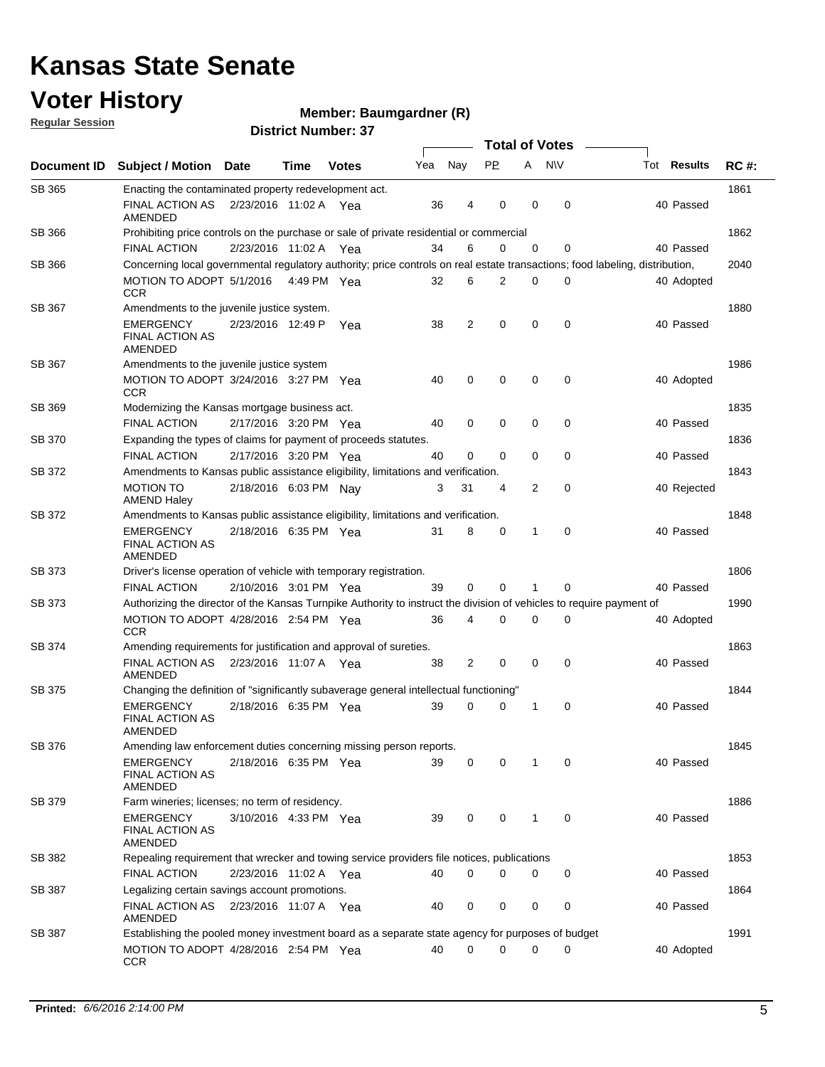### **Voter History**

**Regular Session**

#### **Member: Baumgardner (R)**

|               |                                                                                                                              |                       |      |              |     |             | <b>Total of Votes</b> |              |             |             |             |
|---------------|------------------------------------------------------------------------------------------------------------------------------|-----------------------|------|--------------|-----|-------------|-----------------------|--------------|-------------|-------------|-------------|
| Document ID   | <b>Subject / Motion Date</b>                                                                                                 |                       | Time | <b>Votes</b> | Yea | Nay         | <b>PP</b>             | A NW         |             | Tot Results | <b>RC#:</b> |
| SB 365        | Enacting the contaminated property redevelopment act.                                                                        |                       |      |              |     |             |                       |              |             |             | 1861        |
|               | FINAL ACTION AS<br>AMENDED                                                                                                   | 2/23/2016 11:02 A Yea |      |              | 36  | 4           | 0                     | 0            | 0           | 40 Passed   |             |
| SB 366        | Prohibiting price controls on the purchase or sale of private residential or commercial                                      |                       |      |              |     |             |                       |              |             |             | 1862        |
|               | <b>FINAL ACTION</b>                                                                                                          | 2/23/2016 11:02 A Yea |      |              | 34  | 6           | 0                     | $\mathbf 0$  | 0           | 40 Passed   |             |
| SB 366        | Concerning local governmental regulatory authority; price controls on real estate transactions; food labeling, distribution, |                       |      |              |     |             |                       |              |             |             | 2040        |
|               | MOTION TO ADOPT 5/1/2016 4:49 PM Yea<br><b>CCR</b>                                                                           |                       |      |              | 32  | 6           | 2                     | 0            | 0           | 40 Adopted  |             |
| SB 367        | Amendments to the juvenile justice system.                                                                                   |                       |      |              |     |             |                       |              |             |             | 1880        |
|               | <b>EMERGENCY</b><br><b>FINAL ACTION AS</b><br>AMENDED                                                                        | 2/23/2016 12:49 P Yea |      |              | 38  | 2           | 0                     | $\mathbf 0$  | $\mathbf 0$ | 40 Passed   |             |
| SB 367        | Amendments to the juvenile justice system                                                                                    |                       |      |              |     |             |                       |              |             |             | 1986        |
|               | MOTION TO ADOPT 3/24/2016 3:27 PM Yea<br><b>CCR</b>                                                                          |                       |      |              | 40  | 0           | 0                     | $\mathbf 0$  | 0           | 40 Adopted  |             |
| SB 369        | Modernizing the Kansas mortgage business act.                                                                                |                       |      |              |     |             |                       |              |             |             | 1835        |
|               | <b>FINAL ACTION</b>                                                                                                          | 2/17/2016 3:20 PM Yea |      |              | 40  | $\mathbf 0$ | 0                     | $\mathbf 0$  | 0           | 40 Passed   |             |
| <b>SB 370</b> | Expanding the types of claims for payment of proceeds statutes.<br><b>FINAL ACTION</b>                                       | 2/17/2016 3:20 PM Yea |      |              | 40  | 0           | 0                     | $\mathbf 0$  | 0           | 40 Passed   | 1836        |
| SB 372        | Amendments to Kansas public assistance eligibility, limitations and verification.                                            |                       |      |              |     |             |                       |              |             |             | 1843        |
|               | <b>MOTION TO</b><br><b>AMEND Haley</b>                                                                                       | 2/18/2016 6:03 PM Nay |      |              | 3   | 31          | 4                     | 2            | 0           | 40 Rejected |             |
| SB 372        | Amendments to Kansas public assistance eligibility, limitations and verification.                                            |                       |      |              |     |             |                       |              |             |             | 1848        |
|               | <b>EMERGENCY</b><br><b>FINAL ACTION AS</b><br>AMENDED                                                                        | 2/18/2016 6:35 PM Yea |      |              | 31  | 8           | 0                     | 1            | 0           | 40 Passed   |             |
| SB 373        | Driver's license operation of vehicle with temporary registration.                                                           |                       |      |              |     |             |                       |              |             |             | 1806        |
|               | <b>FINAL ACTION</b>                                                                                                          | 2/10/2016 3:01 PM Yea |      |              | 39  | 0           | 0                     | 1            | 0           | 40 Passed   |             |
| SB 373        | Authorizing the director of the Kansas Turnpike Authority to instruct the division of vehicles to require payment of         |                       |      |              |     |             |                       |              |             |             | 1990        |
|               | MOTION TO ADOPT 4/28/2016 2:54 PM Yea<br>CCR                                                                                 |                       |      |              | 36  | 4           | 0                     | 0            | 0           | 40 Adopted  |             |
| SB 374        | Amending requirements for justification and approval of sureties.                                                            |                       |      |              |     |             |                       |              |             |             | 1863        |
|               | FINAL ACTION AS  2/23/2016  11:07 A  Yea<br>AMENDED                                                                          |                       |      |              | 38  | 2           | 0                     | $\mathbf 0$  | 0           | 40 Passed   |             |
| SB 375        | Changing the definition of "significantly subaverage general intellectual functioning"                                       |                       |      |              |     |             |                       |              |             |             | 1844        |
|               | <b>EMERGENCY</b><br>FINAL ACTION AS<br>AMENDED                                                                               | 2/18/2016 6:35 PM Yea |      |              | 39  | 0           | 0                     | 1            | 0           | 40 Passed   |             |
| SB 376        | Amending law enforcement duties concerning missing person reports.                                                           |                       |      |              |     |             |                       |              |             |             | 1845        |
|               | <b>EMERGENCY</b><br><b>FINAL ACTION AS</b><br>AMENDED                                                                        | 2/18/2016 6:35 PM Yea |      |              | 39  | 0           | 0                     | 1            | 0           | 40 Passed   |             |
| SB 379        | Farm wineries; licenses; no term of residency.                                                                               |                       |      |              |     |             |                       |              |             |             | 1886        |
|               | <b>EMERGENCY</b><br><b>FINAL ACTION AS</b><br>AMENDED                                                                        | 3/10/2016 4:33 PM Yea |      |              | 39  | 0           | 0                     | $\mathbf{1}$ | $\mathbf 0$ | 40 Passed   |             |
| SB 382        | Repealing requirement that wrecker and towing service providers file notices, publications                                   |                       |      |              |     |             |                       |              |             |             | 1853        |
|               | <b>FINAL ACTION</b>                                                                                                          | 2/23/2016 11:02 A Yea |      |              | 40  | 0           | $\Omega$              | 0            | 0           | 40 Passed   |             |
| SB 387        | Legalizing certain savings account promotions.                                                                               |                       |      |              |     |             |                       |              |             |             | 1864        |
|               | FINAL ACTION AS  2/23/2016  11:07 A  Yea<br>AMENDED                                                                          |                       |      |              | 40  | 0           | 0                     | 0            | 0           | 40 Passed   |             |
| SB 387        | Establishing the pooled money investment board as a separate state agency for purposes of budget                             |                       |      |              |     |             |                       |              |             |             | 1991        |
|               | MOTION TO ADOPT 4/28/2016 2:54 PM Yea<br><b>CCR</b>                                                                          |                       |      |              | 40  | 0           | 0                     | $\mathbf 0$  | 0           | 40 Adopted  |             |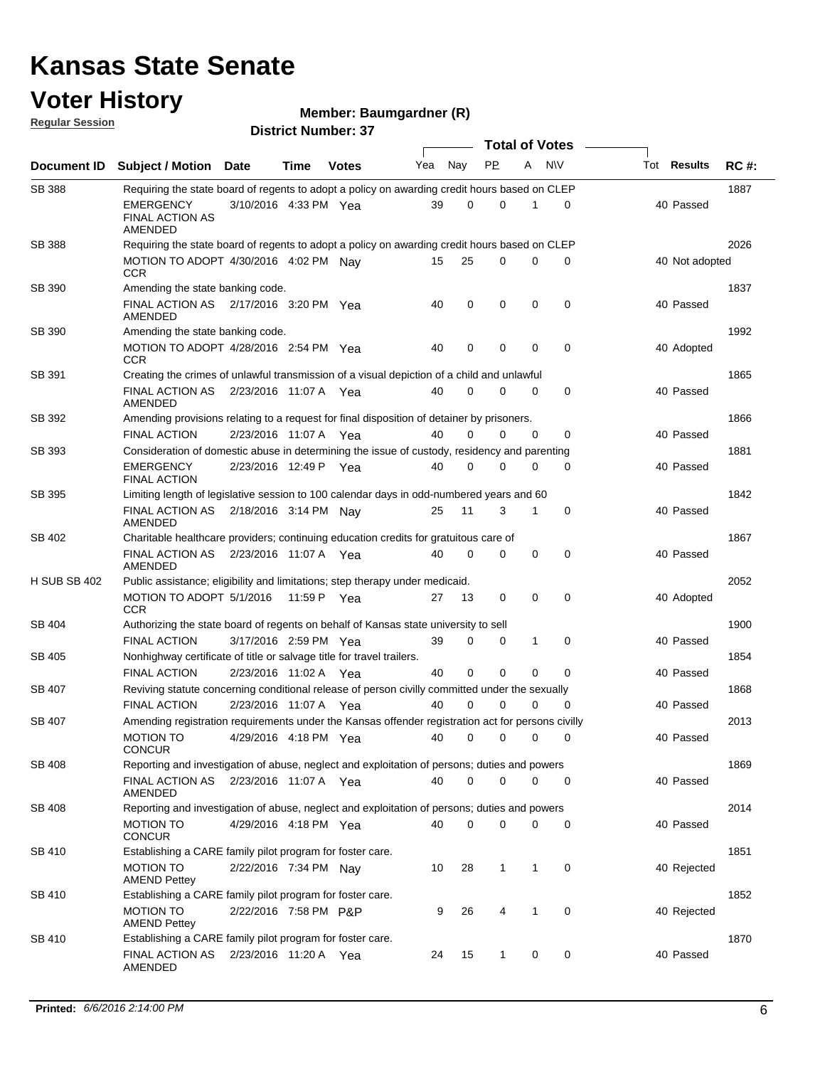#### **Voter History Regular Session**

**Member: Baumgardner (R)** 

| <u>noquial oceanuli</u> |                                                                                                   |                        |             | <b>District Number: 37</b> |     |             |           |             |                       |                    |             |
|-------------------------|---------------------------------------------------------------------------------------------------|------------------------|-------------|----------------------------|-----|-------------|-----------|-------------|-----------------------|--------------------|-------------|
|                         |                                                                                                   |                        |             |                            |     |             |           |             | <b>Total of Votes</b> |                    |             |
| Document ID             | <b>Subject / Motion Date</b>                                                                      |                        | <b>Time</b> | <b>Votes</b>               | Yea | Nay         | <b>PP</b> | A           | N\V                   | Tot <b>Results</b> | <b>RC#:</b> |
| <b>SB 388</b>           | Requiring the state board of regents to adopt a policy on awarding credit hours based on CLEP     |                        |             |                            |     |             |           |             |                       |                    | 1887        |
|                         | EMERGENCY<br><b>FINAL ACTION AS</b><br>AMENDED                                                    | 3/10/2016 4:33 PM Yea  |             |                            | 39  | 0           | 0         | 1           | 0                     | 40 Passed          |             |
| <b>SB 388</b>           | Requiring the state board of regents to adopt a policy on awarding credit hours based on CLEP     |                        |             |                            |     |             |           |             |                       |                    | 2026        |
|                         | MOTION TO ADOPT 4/30/2016 4:02 PM Nay<br><b>CCR</b>                                               |                        |             |                            | 15  | 25          | 0         | 0           | 0                     | 40 Not adopted     |             |
| SB 390                  | Amending the state banking code.                                                                  |                        |             |                            |     |             |           |             |                       |                    | 1837        |
|                         | FINAL ACTION AS 2/17/2016 3:20 PM Yea<br>AMENDED                                                  |                        |             |                            | 40  | 0           | 0         | 0           | $\mathbf 0$           | 40 Passed          |             |
| SB 390                  | Amending the state banking code.                                                                  |                        |             |                            |     |             |           |             |                       |                    | 1992        |
|                         | MOTION TO ADOPT 4/28/2016 2:54 PM Yea<br><b>CCR</b>                                               |                        |             |                            | 40  | 0           | 0         | 0           | 0                     | 40 Adopted         |             |
| SB 391                  | Creating the crimes of unlawful transmission of a visual depiction of a child and unlawful        |                        |             |                            |     |             |           |             |                       |                    | 1865        |
|                         | FINAL ACTION AS<br>AMENDED                                                                        | 2/23/2016 11:07 A  Yea |             |                            | 40  | $\Omega$    | 0         | 0           | 0                     | 40 Passed          |             |
| SB 392                  | Amending provisions relating to a request for final disposition of detainer by prisoners.         |                        |             |                            |     |             |           |             |                       |                    | 1866        |
|                         | <b>FINAL ACTION</b>                                                                               | 2/23/2016 11:07 A Yea  |             |                            | 40  | 0           | 0         | 0           | 0                     | 40 Passed          |             |
| SB 393                  | Consideration of domestic abuse in determining the issue of custody, residency and parenting      |                        |             |                            |     |             |           |             |                       |                    | 1881        |
|                         | EMERGENCY<br><b>FINAL ACTION</b>                                                                  | 2/23/2016 12:49 P Yea  |             |                            | 40  | 0           | 0         | 0           | 0                     | 40 Passed          |             |
| SB 395                  | Limiting length of legislative session to 100 calendar days in odd-numbered years and 60          |                        |             |                            |     |             |           |             |                       |                    | 1842        |
|                         | FINAL ACTION AS<br>AMENDED                                                                        | 2/18/2016 3:14 PM Nay  |             |                            | 25  | 11          | 3         | 1           | 0                     | 40 Passed          |             |
| SB 402                  | Charitable healthcare providers; continuing education credits for gratuitous care of              |                        |             |                            |     |             |           |             |                       |                    | 1867        |
|                         | FINAL ACTION AS  2/23/2016  11:07 A  Yea<br><b>AMENDED</b>                                        |                        |             |                            | 40  | $\Omega$    | 0         | 0           | 0                     | 40 Passed          |             |
| <b>H SUB SB 402</b>     | Public assistance; eligibility and limitations; step therapy under medicaid.                      |                        |             |                            |     |             |           |             |                       |                    | 2052        |
|                         | MOTION TO ADOPT 5/1/2016<br>CCR                                                                   |                        |             | 11:59 P Yea                | 27  | 13          | 0         | $\mathbf 0$ | $\mathbf 0$           | 40 Adopted         |             |
| SB 404                  | Authorizing the state board of regents on behalf of Kansas state university to sell               |                        |             |                            |     |             |           |             |                       |                    | 1900        |
|                         | <b>FINAL ACTION</b>                                                                               | 3/17/2016 2:59 PM Yea  |             |                            | 39  | 0           | 0         | 1           | 0                     | 40 Passed          |             |
| SB 405                  | Nonhighway certificate of title or salvage title for travel trailers.                             |                        |             |                            |     |             |           |             |                       |                    | 1854        |
|                         | <b>FINAL ACTION</b>                                                                               | 2/23/2016 11:02 A Yea  |             |                            | 40  | $\mathbf 0$ | 0         | 0           | $\mathbf 0$           | 40 Passed          |             |
| SB 407                  | Reviving statute concerning conditional release of person civilly committed under the sexually    |                        |             |                            |     |             |           |             |                       |                    | 1868        |
|                         | <b>FINAL ACTION</b>                                                                               | 2/23/2016 11:07 A Yea  |             |                            | 40  | $\Omega$    | 0         | 0           | $\mathbf 0$           | 40 Passed          |             |
| SB 407                  | Amending registration requirements under the Kansas offender registration act for persons civilly |                        |             |                            |     |             |           |             |                       |                    | 2013        |
|                         | <b>MOTION TO</b><br><b>CONCUR</b>                                                                 | 4/29/2016 4:18 PM Yea  |             |                            | 40  | 0           | 0         | 0           | 0                     | 40 Passed          |             |
| SB 408                  | Reporting and investigation of abuse, neglect and exploitation of persons; duties and powers      |                        |             |                            |     |             |           |             |                       |                    | 1869        |
|                         | FINAL ACTION AS  2/23/2016  11:07 A  Yea<br>AMENDED                                               |                        |             |                            | 40  | $\mathbf 0$ | 0         | 0           | 0                     | 40 Passed          |             |
| <b>SB 408</b>           | Reporting and investigation of abuse, neglect and exploitation of persons; duties and powers      |                        |             |                            |     |             |           |             |                       |                    | 2014        |
|                         | <b>MOTION TO</b><br><b>CONCUR</b>                                                                 | 4/29/2016 4:18 PM Yea  |             |                            | 40  | 0           | 0         | 0           | 0                     | 40 Passed          |             |
| <b>SB 410</b>           | Establishing a CARE family pilot program for foster care.                                         |                        |             |                            |     |             |           |             |                       |                    | 1851        |
|                         | MOTION TO<br><b>AMEND Pettey</b>                                                                  | 2/22/2016 7:34 PM Nav  |             |                            | 10  | 28          | 1         | 1           | 0                     | 40 Rejected        |             |
| SB 410                  | Establishing a CARE family pilot program for foster care.                                         |                        |             |                            |     |             |           |             |                       |                    | 1852        |
|                         | <b>MOTION TO</b><br><b>AMEND Pettey</b>                                                           | 2/22/2016 7:58 PM P&P  |             |                            | 9   | 26          | 4         | 1           | 0                     | 40 Rejected        |             |
| SB 410                  | Establishing a CARE family pilot program for foster care.                                         |                        |             |                            |     |             |           |             |                       |                    | 1870        |
|                         | FINAL ACTION AS<br>AMENDED                                                                        | 2/23/2016 11:20 A Yea  |             |                            | 24  | 15          | 1         | 0           | 0                     | 40 Passed          |             |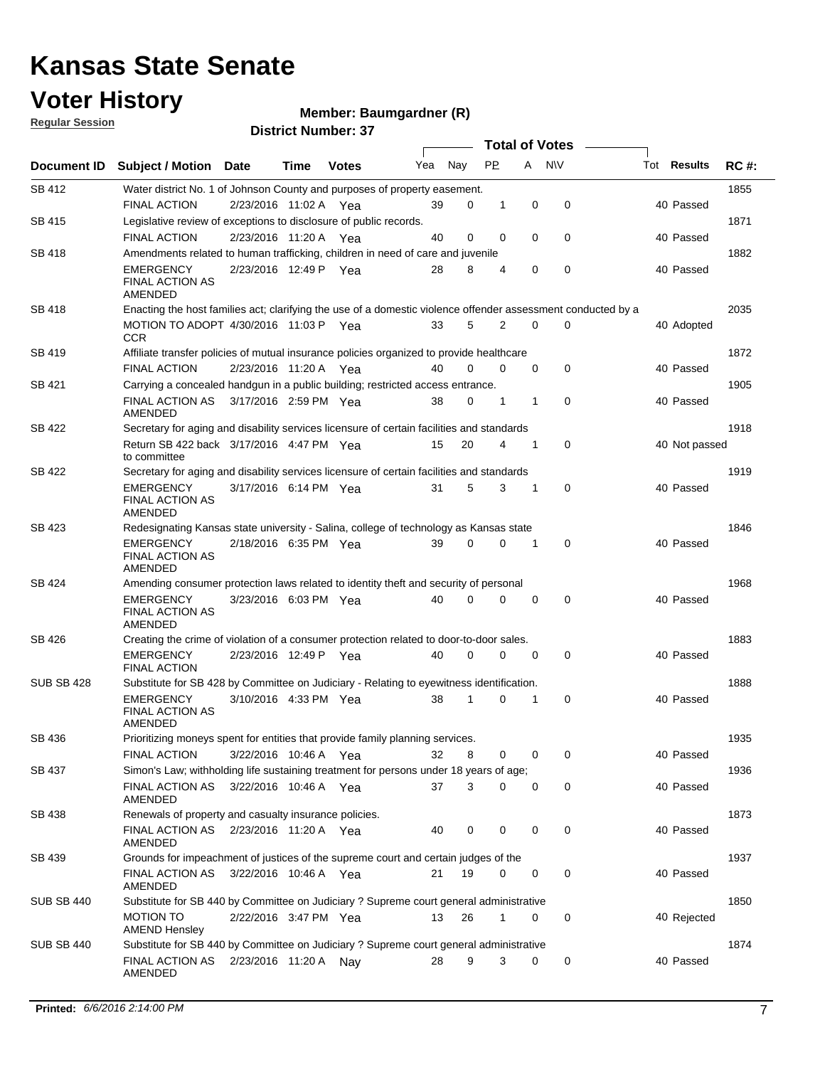### **Voter History**

**Member: Baumgardner (R)** 

**Regular Session**

| <b>District Number: 37</b> |  |
|----------------------------|--|

|                    |                                                                                                                                    |                       |      |              |     |          | <b>Total of Votes</b> |   |             |                    |      |
|--------------------|------------------------------------------------------------------------------------------------------------------------------------|-----------------------|------|--------------|-----|----------|-----------------------|---|-------------|--------------------|------|
| <b>Document ID</b> | <b>Subject / Motion</b>                                                                                                            | <b>Date</b>           | Time | <b>Votes</b> | Yea | Nay      | <b>PP</b>             | A | <b>NV</b>   | Tot <b>Results</b> | RC#  |
| SB 412             | Water district No. 1 of Johnson County and purposes of property easement.                                                          |                       |      |              |     |          |                       |   |             |                    | 1855 |
|                    | <b>FINAL ACTION</b>                                                                                                                | 2/23/2016 11:02 A Yea |      |              | 39  | 0        | 1                     | 0 | $\mathbf 0$ | 40 Passed          |      |
| SB 415             | Legislative review of exceptions to disclosure of public records.                                                                  |                       |      |              |     |          |                       |   |             |                    | 1871 |
|                    | <b>FINAL ACTION</b>                                                                                                                | 2/23/2016 11:20 A Yea |      |              | 40  | 0        | 0                     | 0 | 0           | 40 Passed          |      |
| SB 418             | Amendments related to human trafficking, children in need of care and juvenile                                                     |                       |      |              |     |          |                       |   |             |                    | 1882 |
|                    | <b>EMERGENCY</b><br><b>FINAL ACTION AS</b><br>AMENDED                                                                              | 2/23/2016 12:49 P Yea |      |              | 28  | 8        | 4                     | 0 | 0           | 40 Passed          |      |
| SB 418             | Enacting the host families act; clarifying the use of a domestic violence offender assessment conducted by a                       |                       |      |              |     |          |                       |   |             |                    | 2035 |
|                    | MOTION TO ADOPT 4/30/2016 11:03 P Yea<br><b>CCR</b>                                                                                |                       |      |              | 33  | 5        | 2                     | 0 | 0           | 40 Adopted         |      |
| SB 419             | Affiliate transfer policies of mutual insurance policies organized to provide healthcare                                           |                       |      |              |     |          |                       |   |             |                    | 1872 |
|                    | <b>FINAL ACTION</b>                                                                                                                | 2/23/2016 11:20 A Yea |      |              | 40  | $\Omega$ | $\Omega$              | 0 | 0           | 40 Passed          |      |
| SB 421             | Carrying a concealed handgun in a public building; restricted access entrance.                                                     |                       |      |              |     |          |                       |   |             |                    | 1905 |
|                    | <b>FINAL ACTION AS</b><br>AMENDED                                                                                                  | 3/17/2016 2:59 PM Yea |      |              | 38  | 0        | 1                     | 1 | 0           | 40 Passed          |      |
| SB 422             | Secretary for aging and disability services licensure of certain facilities and standards                                          |                       |      |              |     |          |                       |   |             |                    | 1918 |
|                    | Return SB 422 back 3/17/2016 4:47 PM Yea<br>to committee                                                                           |                       |      |              | 15  | 20       | 4                     | 1 | 0           | 40 Not passed      |      |
| SB 422             | Secretary for aging and disability services licensure of certain facilities and standards                                          |                       |      |              |     |          |                       |   |             |                    | 1919 |
|                    | <b>EMERGENCY</b><br><b>FINAL ACTION AS</b><br>AMENDED                                                                              | 3/17/2016 6:14 PM Yea |      |              | 31  | 5        | 3                     | 1 | 0           | 40 Passed          |      |
| <b>SB 423</b>      | Redesignating Kansas state university - Salina, college of technology as Kansas state                                              |                       |      |              |     |          |                       |   |             |                    | 1846 |
|                    | <b>EMERGENCY</b><br><b>FINAL ACTION AS</b><br>AMENDED                                                                              | 2/18/2016 6:35 PM Yea |      |              | 39  | 0        | 0                     | 1 | 0           | 40 Passed          |      |
| SB 424             | Amending consumer protection laws related to identity theft and security of personal                                               |                       |      |              |     |          |                       |   |             |                    | 1968 |
|                    | <b>EMERGENCY</b><br><b>FINAL ACTION AS</b><br>AMENDED                                                                              | 3/23/2016 6:03 PM Yea |      |              | 40  | $\Omega$ | 0                     | 0 | $\mathbf 0$ | 40 Passed          |      |
| SB 426             | Creating the crime of violation of a consumer protection related to door-to-door sales.                                            |                       |      |              |     |          |                       |   |             |                    | 1883 |
|                    | <b>EMERGENCY</b><br><b>FINAL ACTION</b>                                                                                            | 2/23/2016 12:49 P     |      | Yea          | 40  | $\Omega$ | 0                     | 0 | 0           | 40 Passed          |      |
| <b>SUB SB 428</b>  | Substitute for SB 428 by Committee on Judiciary - Relating to eyewitness identification.                                           |                       |      |              |     |          |                       |   |             |                    | 1888 |
|                    | <b>EMERGENCY</b><br><b>FINAL ACTION AS</b><br><b>AMENDED</b>                                                                       | 3/10/2016 4:33 PM Yea |      |              | 38  | 1        | 0                     | 1 | 0           | 40 Passed          |      |
| SB 436             | Prioritizing moneys spent for entities that provide family planning services.                                                      |                       |      |              |     |          |                       |   |             |                    | 1935 |
|                    | <b>FINAL ACTION</b>                                                                                                                | 3/22/2016 10:46 A Yea |      |              | 32  | 8        | 0                     | 0 | 0           | 40 Passed          |      |
| SB 437             | Simon's Law; withholding life sustaining treatment for persons under 18 years of age;                                              |                       |      |              |     |          |                       |   |             |                    | 1936 |
|                    | <b>FINAL ACTION AS</b><br>AMENDED                                                                                                  | 3/22/2016 10:46 A Yea |      |              | 37  | 3        | 0                     | 0 | 0           | 40 Passed          |      |
| SB 438             | Renewals of property and casualty insurance policies.                                                                              |                       |      |              |     |          |                       |   |             |                    | 1873 |
|                    | FINAL ACTION AS<br>AMENDED                                                                                                         | 2/23/2016 11:20 A Yea |      |              | 40  | 0        | 0                     | 0 | 0           | 40 Passed          |      |
| SB 439             | Grounds for impeachment of justices of the supreme court and certain judges of the                                                 |                       |      |              |     |          |                       |   |             |                    | 1937 |
|                    | <b>FINAL ACTION AS</b><br>AMENDED                                                                                                  | 3/22/2016 10:46 A Yea |      |              | 21  | 19       | 0                     | 0 | 0           | 40 Passed          |      |
| <b>SUB SB 440</b>  | Substitute for SB 440 by Committee on Judiciary ? Supreme court general administrative                                             |                       |      |              |     |          |                       |   |             |                    | 1850 |
| <b>SUB SB 440</b>  | <b>MOTION TO</b><br><b>AMEND Hensley</b><br>Substitute for SB 440 by Committee on Judiciary ? Supreme court general administrative | 2/22/2016 3:47 PM Yea |      |              | 13  | 26       | 1                     | 0 | 0           | 40 Rejected        | 1874 |
|                    | FINAL ACTION AS<br>AMENDED                                                                                                         | 2/23/2016 11:20 A Nay |      |              | 28  | 9        | 3                     | 0 | 0           | 40 Passed          |      |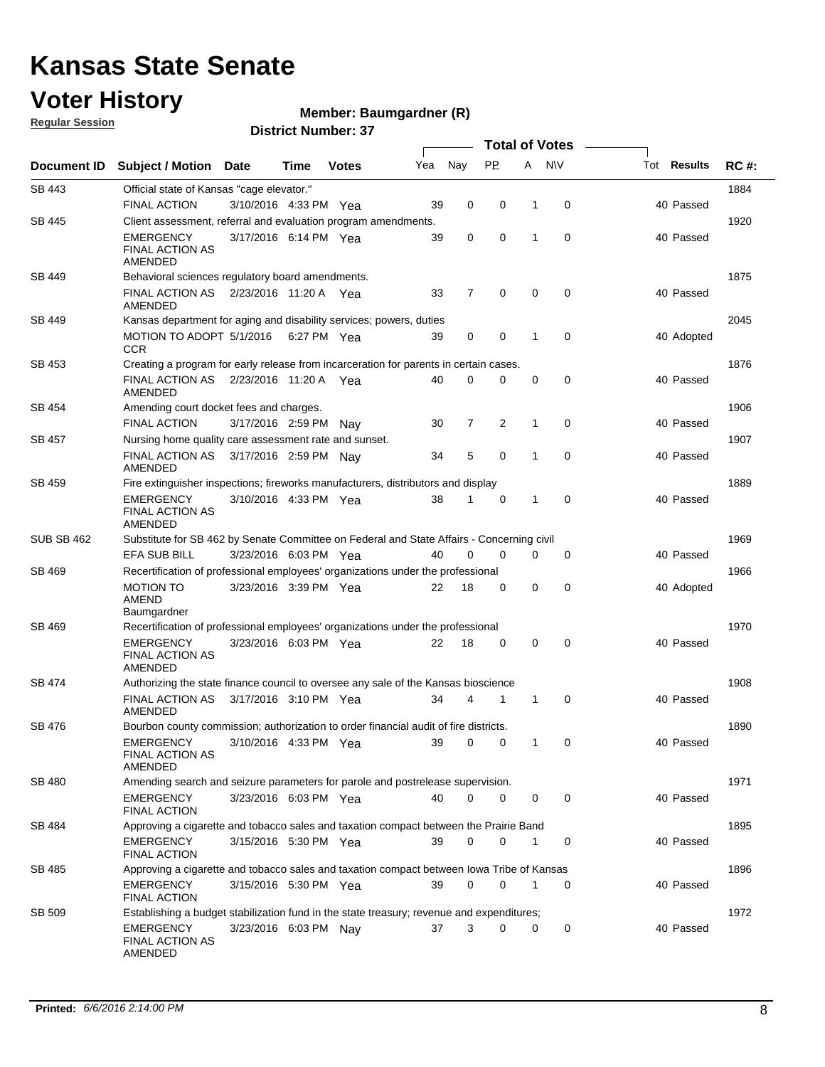### **Voter History**

**Regular Session**

#### **Member: Baumgardner (R)**

|                   |                                                                                           |                       |      |              |     |                |             |             | <b>Total of Votes</b> |                    |             |
|-------------------|-------------------------------------------------------------------------------------------|-----------------------|------|--------------|-----|----------------|-------------|-------------|-----------------------|--------------------|-------------|
| Document ID       | Subject / Motion Date                                                                     |                       | Time | <b>Votes</b> | Yea | Nay            | <b>PP</b>   |             | A NW                  | Tot <b>Results</b> | <b>RC#:</b> |
| SB 443            | Official state of Kansas "cage elevator."                                                 |                       |      |              |     |                |             |             |                       |                    | 1884        |
|                   | <b>FINAL ACTION</b>                                                                       | 3/10/2016 4:33 PM Yea |      |              | 39  | 0              | 0           | 1           | 0                     | 40 Passed          |             |
| SB 445            | Client assessment, referral and evaluation program amendments.                            |                       |      |              |     |                |             |             |                       |                    | 1920        |
|                   | <b>EMERGENCY</b><br><b>FINAL ACTION AS</b><br>AMENDED                                     | 3/17/2016 6:14 PM Yea |      |              | 39  | 0              | 0           | 1           | 0                     | 40 Passed          |             |
| SB 449            | Behavioral sciences regulatory board amendments.                                          |                       |      |              |     |                |             |             |                       |                    | 1875        |
|                   | <b>FINAL ACTION AS</b><br>AMENDED                                                         | 2/23/2016 11:20 A Yea |      |              | 33  | $\overline{7}$ | $\mathbf 0$ | $\mathbf 0$ | $\mathbf 0$           | 40 Passed          |             |
| SB 449            | Kansas department for aging and disability services; powers, duties                       |                       |      |              |     |                |             |             |                       |                    | 2045        |
|                   | MOTION TO ADOPT 5/1/2016 6:27 PM Yea<br><b>CCR</b>                                        |                       |      |              | 39  | 0              | $\mathbf 0$ | 1           | 0                     | 40 Adopted         |             |
| SB 453            | Creating a program for early release from incarceration for parents in certain cases.     |                       |      |              |     |                |             |             |                       |                    | 1876        |
|                   | FINAL ACTION AS<br>AMENDED                                                                | 2/23/2016 11:20 A Yea |      |              | 40  | 0              | 0           | 0           | $\mathbf 0$           | 40 Passed          |             |
| SB 454            | Amending court docket fees and charges.                                                   |                       |      |              |     |                |             |             |                       |                    | 1906        |
|                   | <b>FINAL ACTION</b>                                                                       | 3/17/2016 2:59 PM     |      | Nav          | 30  | $\overline{7}$ | 2           | 1           | $\mathbf 0$           | 40 Passed          |             |
| SB 457            | Nursing home quality care assessment rate and sunset.                                     |                       |      |              |     |                |             |             |                       |                    | 1907        |
|                   | <b>FINAL ACTION AS</b><br>AMENDED                                                         | 3/17/2016 2:59 PM Nav |      |              | 34  | 5              | 0           | 1           | $\mathbf 0$           | 40 Passed          |             |
| SB 459            | Fire extinguisher inspections; fireworks manufacturers, distributors and display          |                       |      |              |     |                |             |             |                       |                    | 1889        |
|                   | <b>EMERGENCY</b><br><b>FINAL ACTION AS</b><br>AMENDED                                     | 3/10/2016 4:33 PM Yea |      |              | 38  | 1              | 0           | 1           | $\mathbf 0$           | 40 Passed          |             |
| <b>SUB SB 462</b> | Substitute for SB 462 by Senate Committee on Federal and State Affairs - Concerning civil |                       |      |              |     |                |             |             |                       |                    | 1969        |
|                   | EFA SUB BILL                                                                              | 3/23/2016 6:03 PM Yea |      |              | 40  | $\mathbf 0$    | $\mathbf 0$ | 0           | 0                     | 40 Passed          |             |
| SB 469            | Recertification of professional employees' organizations under the professional           |                       |      |              |     |                |             |             |                       |                    | 1966        |
|                   | <b>MOTION TO</b><br>AMEND<br>Baumgardner                                                  | 3/23/2016 3:39 PM Yea |      |              | 22  | 18             | 0           | $\mathbf 0$ | $\mathbf 0$           | 40 Adopted         |             |
| SB 469            | Recertification of professional employees' organizations under the professional           |                       |      |              |     |                |             |             |                       |                    | 1970        |
|                   | <b>EMERGENCY</b><br><b>FINAL ACTION AS</b><br>AMENDED                                     | 3/23/2016 6:03 PM Yea |      |              | 22  | 18             | 0           | 0           | $\mathbf 0$           | 40 Passed          |             |
| SB 474            | Authorizing the state finance council to oversee any sale of the Kansas bioscience        |                       |      |              |     |                |             |             |                       |                    | 1908        |
|                   | <b>FINAL ACTION AS</b><br>AMENDED                                                         | 3/17/2016 3:10 PM Yea |      |              | 34  | 4              | 1           | 1           | 0                     | 40 Passed          |             |
| SB 476            | Bourbon county commission; authorization to order financial audit of fire districts.      |                       |      |              |     |                |             |             |                       |                    | 1890        |
|                   | EMERGENCY 3/10/2016 4:33 PM Yea<br><b>FINAL ACTION AS</b><br>AMENDED                      |                       |      |              | -39 |                |             |             |                       | 40 Passed          |             |
| SB 480            | Amending search and seizure parameters for parole and postrelease supervision.            |                       |      |              |     |                |             |             |                       |                    | 1971        |
|                   | <b>EMERGENCY</b><br><b>FINAL ACTION</b>                                                   | 3/23/2016 6:03 PM Yea |      |              | 40  | 0              | 0           | 0           | $\mathbf 0$           | 40 Passed          |             |
| SB 484            | Approving a cigarette and tobacco sales and taxation compact between the Prairie Band     |                       |      |              |     |                |             |             |                       |                    | 1895        |
|                   | EMERGENCY<br><b>FINAL ACTION</b>                                                          | 3/15/2016 5:30 PM Yea |      |              | 39  | $\mathbf 0$    | 0           | 1           | 0                     | 40 Passed          |             |
| SB 485            | Approving a cigarette and tobacco sales and taxation compact between lowa Tribe of Kansas |                       |      |              |     |                |             |             |                       |                    | 1896        |
|                   | EMERGENCY<br><b>FINAL ACTION</b>                                                          | 3/15/2016 5:30 PM Yea |      |              | 39  | 0              | 0           | 1           | 0                     | 40 Passed          |             |
| SB 509            | Establishing a budget stabilization fund in the state treasury; revenue and expenditures; |                       |      |              |     |                |             |             |                       |                    | 1972        |
|                   | <b>EMERGENCY</b><br><b>FINAL ACTION AS</b><br>AMENDED                                     | 3/23/2016 6:03 PM Nay |      |              | 37  | 3              | 0           | 0           | 0                     | 40 Passed          |             |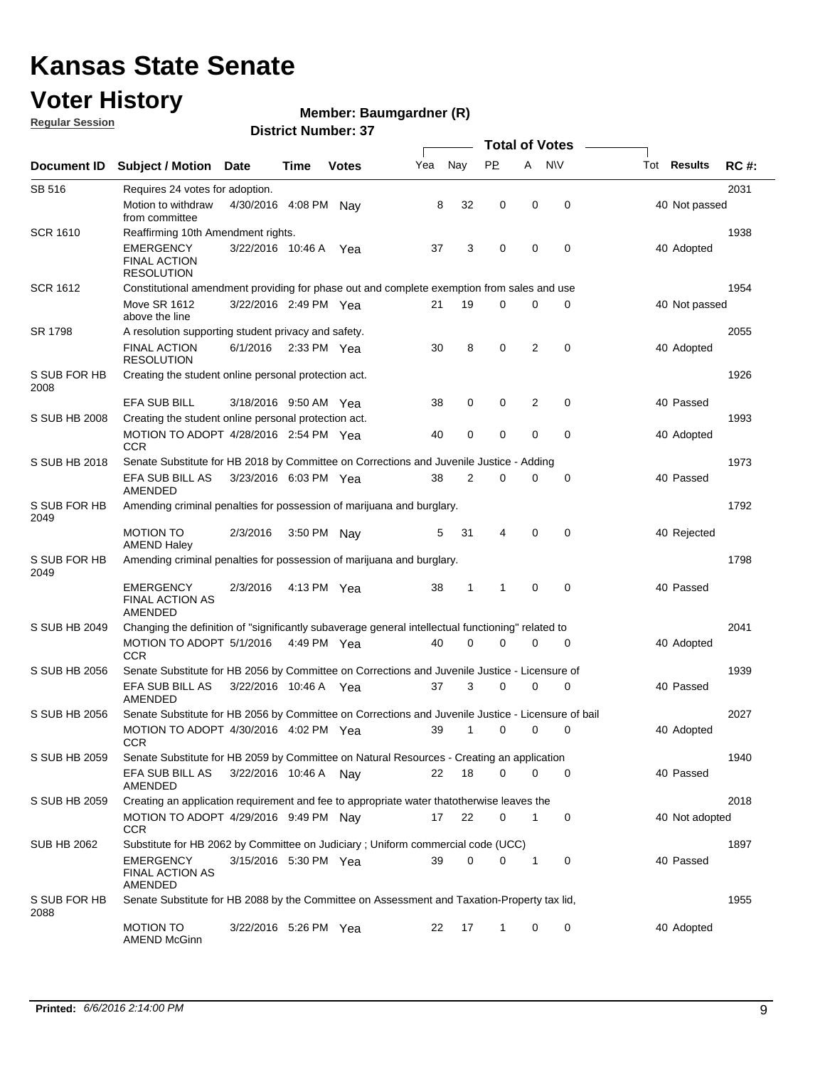### **Voter History**

**Regular Session**

#### **Member: Baumgardner (R)**

|                      |                                                                                                    |                       |             |              |     |             |              | <b>Total of Votes</b> |             |                    |             |
|----------------------|----------------------------------------------------------------------------------------------------|-----------------------|-------------|--------------|-----|-------------|--------------|-----------------------|-------------|--------------------|-------------|
| Document ID          | Subject / Motion Date                                                                              |                       | Time        | <b>Votes</b> | Yea | Nay         | <b>PP</b>    | A                     | <b>NV</b>   | Tot <b>Results</b> | <b>RC#:</b> |
| SB 516               | Requires 24 votes for adoption.                                                                    |                       |             |              |     |             |              |                       |             |                    | 2031        |
|                      | Motion to withdraw<br>from committee                                                               | 4/30/2016 4:08 PM     |             | Nav          | 8   | 32          | 0            | 0                     | $\mathbf 0$ | 40 Not passed      |             |
| <b>SCR 1610</b>      | Reaffirming 10th Amendment rights.                                                                 |                       |             |              |     |             |              |                       |             |                    | 1938        |
|                      | <b>EMERGENCY</b><br><b>FINAL ACTION</b><br><b>RESOLUTION</b>                                       | 3/22/2016 10:46 A     |             | Yea          | 37  | 3           | 0            | 0                     | $\mathbf 0$ | 40 Adopted         |             |
| <b>SCR 1612</b>      | Constitutional amendment providing for phase out and complete exemption from sales and use         |                       |             |              |     |             |              |                       |             |                    | 1954        |
|                      | <b>Move SR 1612</b><br>above the line                                                              | 3/22/2016 2:49 PM Yea |             |              | 21  | 19          | 0            | 0                     | 0           | 40 Not passed      |             |
| SR 1798              | A resolution supporting student privacy and safety.                                                |                       |             |              |     |             |              |                       |             |                    | 2055        |
|                      | <b>FINAL ACTION</b><br><b>RESOLUTION</b>                                                           | 6/1/2016              | 2:33 PM Yea |              | 30  | 8           | 0            | 2                     | 0           | 40 Adopted         |             |
| S SUB FOR HB<br>2008 | Creating the student online personal protection act.                                               |                       |             |              |     |             |              |                       |             |                    | 1926        |
|                      | <b>EFA SUB BILL</b>                                                                                | 3/18/2016 9:50 AM Yea |             |              | 38  | 0           | 0            | 2                     | $\mathbf 0$ | 40 Passed          |             |
| S SUB HB 2008        | Creating the student online personal protection act.                                               |                       |             |              |     |             |              |                       |             |                    | 1993        |
|                      | MOTION TO ADOPT 4/28/2016 2:54 PM Yea<br><b>CCR</b>                                                |                       |             |              | 40  | $\mathbf 0$ | 0            | 0                     | 0           | 40 Adopted         |             |
| S SUB HB 2018        | Senate Substitute for HB 2018 by Committee on Corrections and Juvenile Justice - Adding            |                       |             |              |     |             |              |                       |             |                    | 1973        |
|                      | EFA SUB BILL AS<br>AMENDED                                                                         | 3/23/2016 6:03 PM Yea |             |              | 38  | 2           | 0            | 0                     | $\mathbf 0$ | 40 Passed          |             |
| S SUB FOR HB<br>2049 | Amending criminal penalties for possession of marijuana and burglary.                              |                       |             |              |     |             |              |                       |             |                    | 1792        |
|                      | <b>MOTION TO</b><br><b>AMEND Haley</b>                                                             | 2/3/2016              | 3:50 PM Nay |              | 5   | 31          | 4            | 0                     | 0           | 40 Rejected        |             |
| S SUB FOR HB<br>2049 | Amending criminal penalties for possession of marijuana and burglary.                              |                       |             |              |     |             |              |                       |             |                    | 1798        |
|                      | EMERGENCY<br><b>FINAL ACTION AS</b><br>AMENDED                                                     | 2/3/2016              | 4:13 PM Yea |              | 38  | 1           | $\mathbf{1}$ | 0                     | $\mathbf 0$ | 40 Passed          |             |
| S SUB HB 2049        | Changing the definition of "significantly subaverage general intellectual functioning" related to  |                       |             |              |     |             |              |                       |             |                    | 2041        |
|                      | MOTION TO ADOPT 5/1/2016<br><b>CCR</b>                                                             |                       | 4:49 PM Yea |              | 40  | $\mathbf 0$ | 0            | 0                     | 0           | 40 Adopted         |             |
| S SUB HB 2056        | Senate Substitute for HB 2056 by Committee on Corrections and Juvenile Justice - Licensure of      |                       |             |              |     |             |              |                       |             |                    | 1939        |
|                      | EFA SUB BILL AS<br><b>AMENDED</b>                                                                  | 3/22/2016 10:46 A Yea |             |              | 37  | 3           | 0            | 0                     | 0           | 40 Passed          |             |
| S SUB HB 2056        | Senate Substitute for HB 2056 by Committee on Corrections and Juvenile Justice - Licensure of bail |                       |             |              |     |             |              |                       |             |                    | 2027        |
|                      | MOTION TO ADOPT 4/30/2016 4:02 PM Yea<br><b>CCR</b>                                                |                       |             |              | 39  | 1           | 0            | 0                     | 0           | 40 Adopted         |             |
| S SUB HB 2059        | Senate Substitute for HB 2059 by Committee on Natural Resources - Creating an application          |                       |             |              |     |             |              |                       |             |                    | 1940        |
|                      | EFA SUB BILL AS<br>AMENDED                                                                         | 3/22/2016 10:46 A Nay |             |              | 22  | 18          | 0            | 0                     | 0           | 40 Passed          |             |
| S SUB HB 2059        | Creating an application requirement and fee to appropriate water thatotherwise leaves the          |                       |             |              |     |             |              |                       |             |                    | 2018        |
|                      | MOTION TO ADOPT 4/29/2016 9:49 PM Nay<br><b>CCR</b>                                                |                       |             |              | 17  | 22          | 0            | 1                     | 0           | 40 Not adopted     |             |
| SUB HB 2062          | Substitute for HB 2062 by Committee on Judiciary; Uniform commercial code (UCC)                    |                       |             |              |     |             |              |                       |             |                    | 1897        |
|                      | <b>EMERGENCY</b><br><b>FINAL ACTION AS</b><br>AMENDED                                              | 3/15/2016 5:30 PM Yea |             |              | 39  | 0           | 0            | 1                     | 0           | 40 Passed          |             |
| S SUB FOR HB<br>2088 | Senate Substitute for HB 2088 by the Committee on Assessment and Taxation-Property tax lid,        |                       |             |              |     |             |              |                       |             |                    | 1955        |
|                      | <b>MOTION TO</b><br>AMEND McGinn                                                                   | 3/22/2016 5:26 PM Yea |             |              | 22  | 17          | $\mathbf{1}$ | 0                     | 0           | 40 Adopted         |             |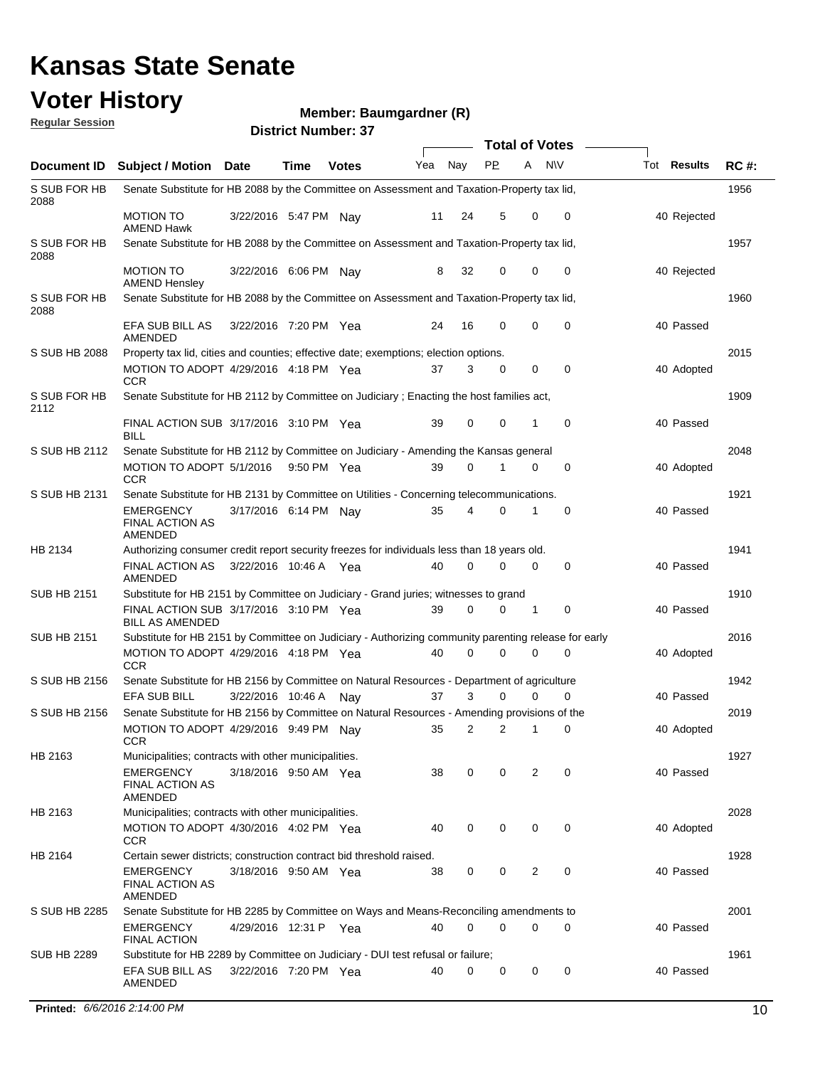#### **Voter History Regular Session**

#### **Member: Baumgardner (R)**

| <u>noquial Ocaaloni</u> |                                                                                                      |                       |      | <b>District Number: 37</b> |     |             |             |             |                       |                    |             |
|-------------------------|------------------------------------------------------------------------------------------------------|-----------------------|------|----------------------------|-----|-------------|-------------|-------------|-----------------------|--------------------|-------------|
|                         |                                                                                                      |                       |      |                            |     |             |             |             | <b>Total of Votes</b> |                    |             |
| Document ID             | Subject / Motion Date                                                                                |                       | Time | <b>Votes</b>               | Yea | Nay         | <b>PP</b>   | A           | N\V                   | Tot <b>Results</b> | <b>RC#:</b> |
| S SUB FOR HB<br>2088    | Senate Substitute for HB 2088 by the Committee on Assessment and Taxation-Property tax lid,          |                       |      |                            |     |             |             |             |                       |                    | 1956        |
|                         | <b>MOTION TO</b><br><b>AMEND Hawk</b>                                                                | 3/22/2016 5:47 PM Nay |      |                            | 11  | 24          | 5           | $\mathbf 0$ | 0                     | 40 Rejected        |             |
| S SUB FOR HB<br>2088    | Senate Substitute for HB 2088 by the Committee on Assessment and Taxation-Property tax lid,          |                       |      |                            |     |             |             |             |                       |                    | 1957        |
|                         | <b>MOTION TO</b><br><b>AMEND Hensley</b>                                                             | 3/22/2016 6:06 PM Nay |      |                            | 8   | 32          | 0           | 0           | 0                     | 40 Rejected        |             |
| S SUB FOR HB<br>2088    | Senate Substitute for HB 2088 by the Committee on Assessment and Taxation-Property tax lid,          |                       |      |                            |     |             |             |             |                       |                    | 1960        |
|                         | EFA SUB BILL AS<br>AMENDED                                                                           | 3/22/2016 7:20 PM Yea |      |                            | 24  | 16          | $\mathbf 0$ | 0           | 0                     | 40 Passed          |             |
| S SUB HB 2088           | Property tax lid, cities and counties; effective date; exemptions; election options.                 |                       |      |                            |     |             |             |             |                       |                    | 2015        |
|                         | MOTION TO ADOPT 4/29/2016 4:18 PM Yea<br><b>CCR</b>                                                  |                       |      |                            | 37  | 3           | 0           | 0           | 0                     | 40 Adopted         |             |
| S SUB FOR HB<br>2112    | Senate Substitute for HB 2112 by Committee on Judiciary; Enacting the host families act,             |                       |      |                            |     |             |             |             |                       |                    | 1909        |
|                         | FINAL ACTION SUB 3/17/2016 3:10 PM Yea<br><b>BILL</b>                                                |                       |      |                            | 39  | $\mathbf 0$ | 0           | 1           | $\mathbf 0$           | 40 Passed          |             |
| S SUB HB 2112           | Senate Substitute for HB 2112 by Committee on Judiciary - Amending the Kansas general                |                       |      |                            |     |             |             |             |                       |                    | 2048        |
|                         | MOTION TO ADOPT 5/1/2016 9:50 PM Yea<br><b>CCR</b>                                                   |                       |      |                            | 39  | 0           | 1           | 0           | 0                     | 40 Adopted         |             |
| S SUB HB 2131           | Senate Substitute for HB 2131 by Committee on Utilities - Concerning telecommunications.             |                       |      |                            |     |             |             |             |                       |                    | 1921        |
|                         | <b>EMERGENCY</b><br><b>FINAL ACTION AS</b><br>AMENDED                                                | 3/17/2016 6:14 PM Nay |      |                            | 35  | 4           | 0           | 1           | 0                     | 40 Passed          |             |
| HB 2134                 | Authorizing consumer credit report security freezes for individuals less than 18 years old.          |                       |      |                            |     |             |             |             |                       |                    | 1941        |
|                         | <b>FINAL ACTION AS</b><br>AMENDED                                                                    | 3/22/2016 10:46 A Yea |      |                            | 40  | $\mathbf 0$ | 0           | 0           | 0                     | 40 Passed          |             |
| <b>SUB HB 2151</b>      | Substitute for HB 2151 by Committee on Judiciary - Grand juries; witnesses to grand                  |                       |      |                            |     |             |             |             |                       |                    | 1910        |
|                         | FINAL ACTION SUB 3/17/2016 3:10 PM Yea<br><b>BILL AS AMENDED</b>                                     |                       |      |                            | 39  | $\mathbf 0$ | 0           | 1           | 0                     | 40 Passed          |             |
| <b>SUB HB 2151</b>      | Substitute for HB 2151 by Committee on Judiciary - Authorizing community parenting release for early |                       |      |                            |     |             |             |             |                       |                    | 2016        |
|                         | MOTION TO ADOPT 4/29/2016 4:18 PM Yea<br><b>CCR</b>                                                  |                       |      |                            | 40  | $\Omega$    | 0           | 0           | 0                     | 40 Adopted         |             |
| S SUB HB 2156           | Senate Substitute for HB 2156 by Committee on Natural Resources - Department of agriculture          |                       |      |                            |     |             |             |             |                       |                    | 1942        |
|                         | <b>EFA SUB BILL</b>                                                                                  | 3/22/2016 10:46 A     |      | Nav                        | 37  | 3           | 0           | 0           | 0                     | 40 Passed          |             |
| S SUB HB 2156           | Senate Substitute for HB 2156 by Committee on Natural Resources - Amending provisions of the         |                       |      |                            |     |             |             |             |                       |                    | 2019        |
|                         | MOTION TO ADOPT 4/29/2016 9:49 PM Nay 35 2 2<br><b>CCR</b>                                           |                       |      |                            |     |             |             |             |                       | 40 Adopted         |             |
| HB 2163                 | Municipalities; contracts with other municipalities.                                                 |                       |      |                            |     |             |             |             |                       |                    | 1927        |
|                         | <b>EMERGENCY</b><br><b>FINAL ACTION AS</b><br>AMENDED                                                | 3/18/2016 9:50 AM Yea |      |                            | 38  | 0           | 0           | 2           | 0                     | 40 Passed          |             |
| HB 2163                 | Municipalities; contracts with other municipalities.                                                 |                       |      |                            |     |             |             |             |                       |                    | 2028        |
|                         | MOTION TO ADOPT 4/30/2016 4:02 PM Yea<br><b>CCR</b>                                                  |                       |      |                            | 40  | 0           | 0           | 0           | 0                     | 40 Adopted         |             |
| HB 2164                 | Certain sewer districts; construction contract bid threshold raised.                                 |                       |      |                            |     |             |             |             |                       |                    | 1928        |
|                         | <b>EMERGENCY</b><br><b>FINAL ACTION AS</b><br>AMENDED                                                | 3/18/2016 9:50 AM Yea |      |                            | 38  | 0           | 0           | 2           | 0                     | 40 Passed          |             |
| S SUB HB 2285           | Senate Substitute for HB 2285 by Committee on Ways and Means-Reconciling amendments to               |                       |      |                            |     |             |             |             |                       |                    | 2001        |
|                         | <b>EMERGENCY</b><br><b>FINAL ACTION</b>                                                              | 4/29/2016 12:31 P Yea |      |                            | 40  | 0           | 0           | 0           | 0                     | 40 Passed          |             |
| <b>SUB HB 2289</b>      | Substitute for HB 2289 by Committee on Judiciary - DUI test refusal or failure;                      |                       |      |                            |     |             |             |             |                       |                    | 1961        |
|                         | EFA SUB BILL AS<br>AMENDED                                                                           | 3/22/2016 7:20 PM Yea |      |                            | 40  | 0           | 0           | 0           | 0                     | 40 Passed          |             |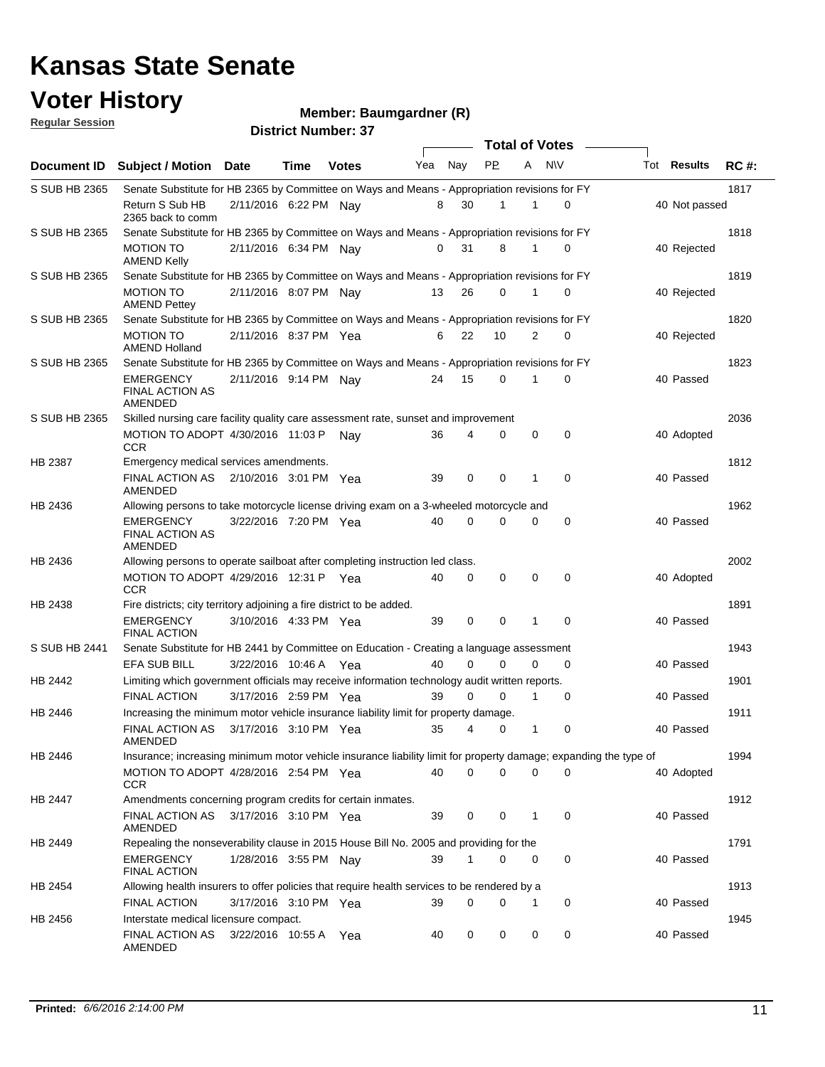### **Voter History**

#### **Member: Baumgardner (R)**

**Regular Session**

|               |                                                                                                                  |                       |      |              |     |          |           | <b>Total of Votes</b> |             |               |             |
|---------------|------------------------------------------------------------------------------------------------------------------|-----------------------|------|--------------|-----|----------|-----------|-----------------------|-------------|---------------|-------------|
|               | Document ID Subject / Motion Date                                                                                |                       | Time | <b>Votes</b> | Yea | Nay      | <b>PP</b> | A                     | <b>NV</b>   | Tot Results   | <b>RC#:</b> |
| S SUB HB 2365 | Senate Substitute for HB 2365 by Committee on Ways and Means - Appropriation revisions for FY                    |                       |      |              |     |          |           |                       |             |               | 1817        |
|               | Return S Sub HB<br>2365 back to comm                                                                             | 2/11/2016 6:22 PM Nav |      |              | 8   | 30       | 1         | 1                     | 0           | 40 Not passed |             |
| S SUB HB 2365 | Senate Substitute for HB 2365 by Committee on Ways and Means - Appropriation revisions for FY                    |                       |      |              |     |          |           |                       |             |               | 1818        |
|               | <b>MOTION TO</b><br><b>AMEND Kelly</b>                                                                           | 2/11/2016 6:34 PM Nay |      |              | 0   | 31       | 8         | 1                     | 0           | 40 Rejected   |             |
| S SUB HB 2365 | Senate Substitute for HB 2365 by Committee on Ways and Means - Appropriation revisions for FY                    |                       |      |              |     |          |           |                       |             |               | 1819        |
|               | <b>MOTION TO</b><br><b>AMEND Pettey</b>                                                                          | 2/11/2016 8:07 PM Nav |      |              | 13  | 26       | 0         | 1                     | $\mathbf 0$ | 40 Rejected   |             |
| S SUB HB 2365 | Senate Substitute for HB 2365 by Committee on Ways and Means - Appropriation revisions for FY                    |                       |      |              |     |          |           |                       |             |               | 1820        |
|               | <b>MOTION TO</b><br><b>AMEND Holland</b>                                                                         | 2/11/2016 8:37 PM Yea |      |              | 6   | 22       | 10        | 2                     | 0           | 40 Rejected   |             |
| S SUB HB 2365 | Senate Substitute for HB 2365 by Committee on Ways and Means - Appropriation revisions for FY                    |                       |      |              |     |          |           |                       |             |               | 1823        |
|               | EMERGENCY<br><b>FINAL ACTION AS</b><br>AMENDED                                                                   | 2/11/2016 9:14 PM Nav |      |              | 24  | 15       | 0         | 1                     | 0           | 40 Passed     |             |
| S SUB HB 2365 | Skilled nursing care facility quality care assessment rate, sunset and improvement                               |                       |      |              |     |          |           |                       |             |               | 2036        |
|               | MOTION TO ADOPT 4/30/2016 11:03 P<br><b>CCR</b>                                                                  |                       |      | Nav          | 36  | 4        | 0         | $\mathbf 0$           | 0           | 40 Adopted    |             |
| HB 2387       | Emergency medical services amendments.                                                                           |                       |      |              |     |          |           |                       |             |               | 1812        |
|               | FINAL ACTION AS 2/10/2016 3:01 PM Yea<br>AMENDED                                                                 |                       |      |              | 39  | 0        | 0         | 1                     | 0           | 40 Passed     |             |
| HB 2436       | Allowing persons to take motorcycle license driving exam on a 3-wheeled motorcycle and                           |                       |      |              |     |          |           |                       |             |               | 1962        |
|               | <b>EMERGENCY</b><br><b>FINAL ACTION AS</b><br><b>AMENDED</b>                                                     | 3/22/2016 7:20 PM Yea |      |              | 40  | $\Omega$ | 0         | 0                     | 0           | 40 Passed     |             |
| HB 2436       | Allowing persons to operate sailboat after completing instruction led class.                                     |                       |      |              |     |          |           |                       |             |               | 2002        |
|               | MOTION TO ADOPT 4/29/2016 12:31 P Yea<br><b>CCR</b>                                                              |                       |      |              | 40  | 0        | 0         | 0                     | 0           | 40 Adopted    |             |
| HB 2438       | Fire districts; city territory adjoining a fire district to be added.                                            |                       |      |              |     |          |           |                       |             |               | 1891        |
|               | <b>EMERGENCY</b><br><b>FINAL ACTION</b>                                                                          | 3/10/2016 4:33 PM Yea |      |              | 39  | 0        | 0         | 1                     | 0           | 40 Passed     |             |
| S SUB HB 2441 | Senate Substitute for HB 2441 by Committee on Education - Creating a language assessment                         |                       |      |              |     |          |           |                       |             |               | 1943        |
|               | <b>EFA SUB BILL</b>                                                                                              | 3/22/2016 10:46 A Yea |      |              | 40  | $\Omega$ | 0         | 0                     | 0           | 40 Passed     |             |
| HB 2442       | Limiting which government officials may receive information technology audit written reports.                    |                       |      |              |     |          |           |                       |             |               | 1901        |
|               | <b>FINAL ACTION</b>                                                                                              | 3/17/2016 2:59 PM Yea |      |              | 39  | $\Omega$ | $\Omega$  | 1                     | 0           | 40 Passed     |             |
| HB 2446       | Increasing the minimum motor vehicle insurance liability limit for property damage.                              |                       |      |              |     |          |           |                       |             |               | 1911        |
|               | <b>FINAL ACTION AS</b><br>AMENDED                                                                                | 3/17/2016 3:10 PM Yea |      |              | 35  | 4        | 0         | 1                     | 0           | 40 Passed     |             |
| HB 2446       | Insurance; increasing minimum motor vehicle insurance liability limit for property damage; expanding the type of |                       |      |              |     |          |           |                       |             |               | 1994        |
|               | MOTION TO ADOPT 4/28/2016 2:54 PM Yea<br><b>CCR</b>                                                              |                       |      |              | 40  | O        |           | 0                     | 0           | 40 Adopted    |             |
| HB 2447       | Amendments concerning program credits for certain inmates.                                                       |                       |      |              |     |          |           |                       |             |               | 1912        |
|               | FINAL ACTION AS<br>AMENDED                                                                                       | 3/17/2016 3:10 PM Yea |      |              | 39  | 0        | 0         | 1                     | 0           | 40 Passed     |             |
| HB 2449       | Repealing the nonseverability clause in 2015 House Bill No. 2005 and providing for the                           |                       |      |              |     |          |           |                       |             |               | 1791        |
|               | EMERGENCY<br><b>FINAL ACTION</b>                                                                                 | 1/28/2016 3:55 PM Nay |      |              | 39  | 1        | 0         | 0                     | 0           | 40 Passed     |             |
| HB 2454       | Allowing health insurers to offer policies that require health services to be rendered by a                      |                       |      |              |     |          |           |                       |             |               | 1913        |
|               | <b>FINAL ACTION</b>                                                                                              | 3/17/2016 3:10 PM Yea |      |              | 39  | 0        | 0         | 1                     | 0           | 40 Passed     |             |
| HB 2456       | Interstate medical licensure compact.                                                                            |                       |      |              |     |          |           |                       |             |               | 1945        |
|               | FINAL ACTION AS<br>AMENDED                                                                                       | 3/22/2016 10:55 A Yea |      |              | 40  | 0        | 0         | 0                     | 0           | 40 Passed     |             |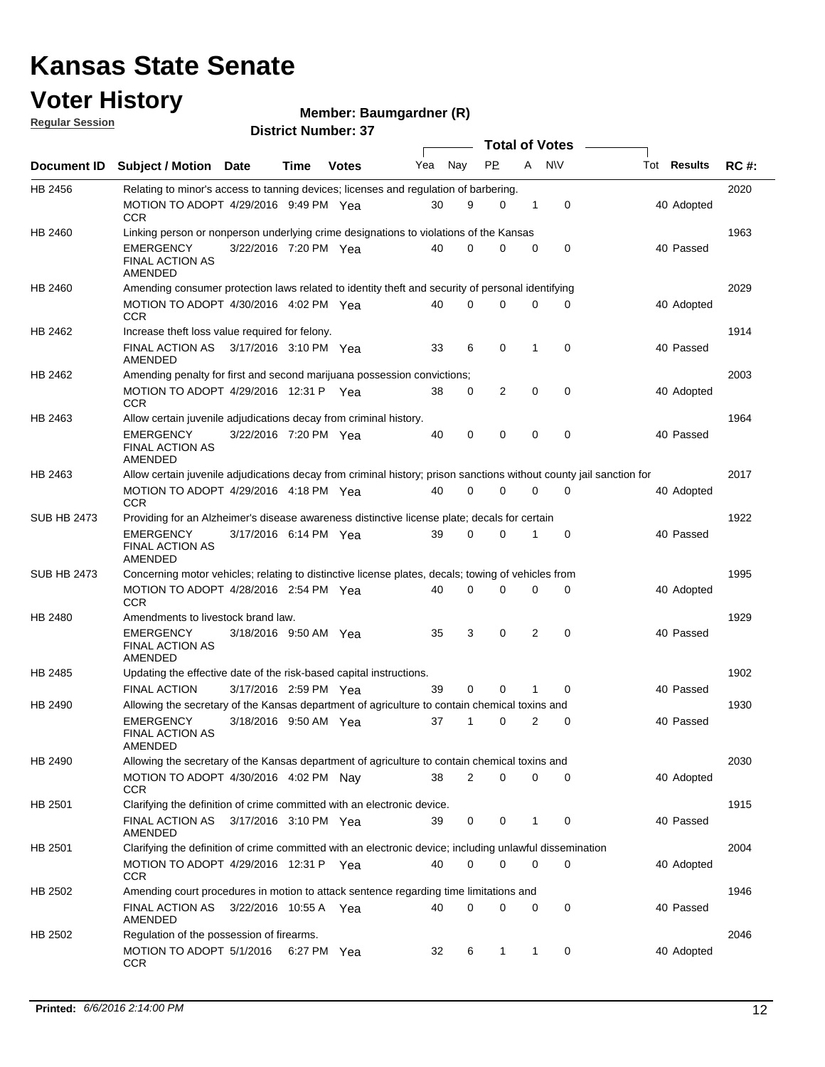### **Voter History**

**Regular Session**

#### **Member: Baumgardner (R)**

|                    |                                                                                                                     |                       |             |              |     |             | <b>Total of Votes</b> |                |           |                    |             |
|--------------------|---------------------------------------------------------------------------------------------------------------------|-----------------------|-------------|--------------|-----|-------------|-----------------------|----------------|-----------|--------------------|-------------|
| Document ID        | <b>Subject / Motion Date</b>                                                                                        |                       | Time        | <b>Votes</b> | Yea | Nay         | PP.                   | A              | <b>NV</b> | Tot <b>Results</b> | <b>RC#:</b> |
| HB 2456            | Relating to minor's access to tanning devices; licenses and regulation of barbering.                                |                       |             |              |     |             |                       |                |           |                    | 2020        |
|                    | MOTION TO ADOPT 4/29/2016 9:49 PM Yea<br><b>CCR</b>                                                                 |                       |             |              | 30  | 9           | $\mathbf 0$           | 1              | 0         | 40 Adopted         |             |
| HB 2460            | Linking person or nonperson underlying crime designations to violations of the Kansas                               |                       |             |              |     |             |                       |                |           |                    | 1963        |
|                    | <b>EMERGENCY</b><br><b>FINAL ACTION AS</b><br>AMENDED                                                               | 3/22/2016 7:20 PM Yea |             |              | 40  | $\Omega$    | 0                     | $\mathbf 0$    | 0         | 40 Passed          |             |
| HB 2460            | Amending consumer protection laws related to identity theft and security of personal identifying                    |                       |             |              |     |             |                       |                |           |                    | 2029        |
|                    | MOTION TO ADOPT 4/30/2016 4:02 PM Yea<br><b>CCR</b>                                                                 |                       |             |              | 40  | $\Omega$    | $\mathbf 0$           | 0              | $\Omega$  | 40 Adopted         |             |
| HB 2462            | Increase theft loss value required for felony.                                                                      |                       |             |              |     |             |                       |                |           |                    | 1914        |
|                    | <b>FINAL ACTION AS</b><br><b>AMENDED</b>                                                                            | 3/17/2016 3:10 PM Yea |             |              | 33  | 6           | 0                     | 1              | 0         | 40 Passed          |             |
| HB 2462            | Amending penalty for first and second marijuana possession convictions;                                             |                       |             |              |     |             |                       |                |           |                    | 2003        |
|                    | MOTION TO ADOPT 4/29/2016 12:31 P Yea<br><b>CCR</b>                                                                 |                       |             |              | 38  | 0           | 2                     | $\mathbf 0$    | 0         | 40 Adopted         |             |
| HB 2463            | Allow certain juvenile adjudications decay from criminal history.                                                   |                       |             |              |     |             |                       |                |           |                    | 1964        |
|                    | <b>EMERGENCY</b><br><b>FINAL ACTION AS</b><br>AMENDED                                                               | 3/22/2016 7:20 PM Yea |             |              | 40  | 0           | 0                     | $\mathbf 0$    | 0         | 40 Passed          |             |
| HB 2463            | Allow certain juvenile adjudications decay from criminal history; prison sanctions without county jail sanction for |                       |             |              |     |             |                       |                |           |                    | 2017        |
|                    | MOTION TO ADOPT 4/29/2016 4:18 PM Yea<br><b>CCR</b>                                                                 |                       |             |              | 40  | 0           | $\mathbf 0$           | 0              | 0         | 40 Adopted         |             |
| <b>SUB HB 2473</b> | Providing for an Alzheimer's disease awareness distinctive license plate; decals for certain                        |                       |             |              |     |             |                       |                |           |                    | 1922        |
|                    | <b>EMERGENCY</b><br><b>FINAL ACTION AS</b><br>AMENDED                                                               | 3/17/2016 6:14 PM Yea |             |              | 39  | $\Omega$    | $\Omega$              | 1              | 0         | 40 Passed          |             |
| <b>SUB HB 2473</b> | Concerning motor vehicles; relating to distinctive license plates, decals; towing of vehicles from                  |                       |             |              |     |             |                       |                |           |                    | 1995        |
|                    | MOTION TO ADOPT 4/28/2016 2:54 PM Yea<br><b>CCR</b>                                                                 |                       |             |              | 40  | $\mathbf 0$ | $\mathbf 0$           | 0              | 0         | 40 Adopted         |             |
| HB 2480            | Amendments to livestock brand law.                                                                                  |                       |             |              |     |             |                       |                |           |                    | 1929        |
|                    | <b>EMERGENCY</b><br><b>FINAL ACTION AS</b><br>AMENDED                                                               | 3/18/2016 9:50 AM Yea |             |              | 35  | 3           | 0                     | 2              | 0         | 40 Passed          |             |
| HB 2485            | Updating the effective date of the risk-based capital instructions.                                                 |                       |             |              |     |             |                       |                |           |                    | 1902        |
|                    | <b>FINAL ACTION</b>                                                                                                 | 3/17/2016 2:59 PM Yea |             |              | 39  | 0           | $\Omega$              | 1              | 0         | 40 Passed          |             |
| HB 2490            | Allowing the secretary of the Kansas department of agriculture to contain chemical toxins and                       |                       |             |              |     |             |                       |                |           |                    | 1930        |
|                    | <b>EMERGENCY</b><br><b>FINAL ACTION AS</b><br>AMENDED                                                               | 3/18/2016 9:50 AM Yea |             |              | 37  |             | $\mathbf 0$           | $\overline{2}$ | 0         | 40 Passed          |             |
| HB 2490            | Allowing the secretary of the Kansas department of agriculture to contain chemical toxins and                       |                       |             |              |     |             |                       |                |           |                    | 2030        |
|                    | MOTION TO ADOPT 4/30/2016 4:02 PM Nay<br><b>CCR</b>                                                                 |                       |             |              | 38  | 2           | 0                     | 0              | 0         | 40 Adopted         |             |
| HB 2501            | Clarifying the definition of crime committed with an electronic device.                                             |                       |             |              |     |             |                       |                |           |                    | 1915        |
|                    | FINAL ACTION AS<br>AMENDED                                                                                          | 3/17/2016 3:10 PM Yea |             |              | 39  | 0           | 0                     | 1              | 0         | 40 Passed          |             |
| HB 2501            | Clarifying the definition of crime committed with an electronic device; including unlawful dissemination            |                       |             |              |     |             |                       |                |           |                    | 2004        |
|                    | MOTION TO ADOPT 4/29/2016 12:31 P Yea<br><b>CCR</b>                                                                 |                       |             |              | 40  | 0           | 0                     | $\mathbf 0$    | 0         | 40 Adopted         |             |
| HB 2502            | Amending court procedures in motion to attack sentence regarding time limitations and                               |                       |             |              |     |             |                       |                |           |                    | 1946        |
| HB 2502            | FINAL ACTION AS<br>AMENDED<br>Regulation of the possession of firearms.                                             | 3/22/2016 10:55 A Yea |             |              | 40  | 0           | 0                     | 0              | 0         | 40 Passed          | 2046        |
|                    | MOTION TO ADOPT 5/1/2016<br>CCR                                                                                     |                       | 6:27 PM Yea |              | 32  | 6           | 1                     | 1              | 0         | 40 Adopted         |             |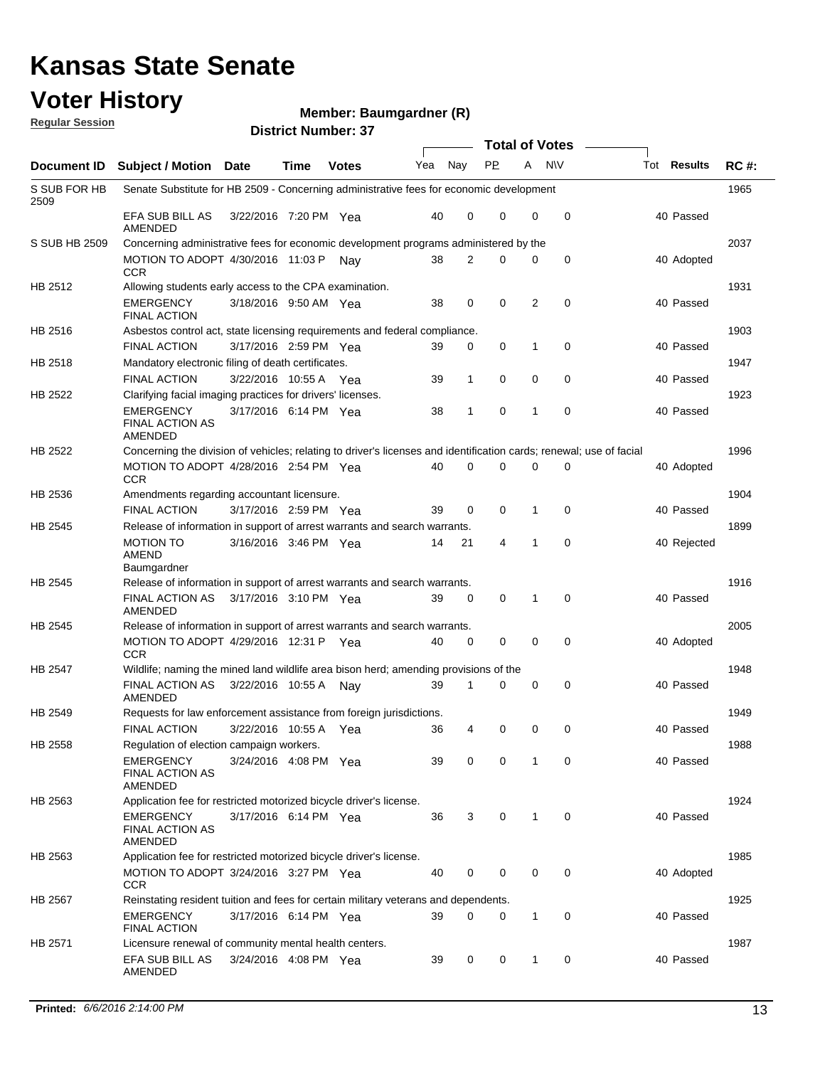#### **Voter History Regular Session**

**Member: Baumgardner (R)** 

|                              |                                                                                                                     |                       | <u>וע, ושטווווטרוי</u> |              |     |             | <b>Total of Votes</b> |                  |   |             |             |
|------------------------------|---------------------------------------------------------------------------------------------------------------------|-----------------------|------------------------|--------------|-----|-------------|-----------------------|------------------|---|-------------|-------------|
| Document ID                  | <b>Subject / Motion</b>                                                                                             | <b>Date</b>           | <b>Time</b>            | <b>Votes</b> | Yea | Nay         | <b>PP</b>             | A<br><b>N</b> \V |   | Tot Results | <b>RC#:</b> |
| S SUB FOR HB<br>2509         | Senate Substitute for HB 2509 - Concerning administrative fees for economic development                             |                       |                        |              |     |             |                       |                  |   |             | 1965        |
|                              | EFA SUB BILL AS<br>AMENDED                                                                                          | 3/22/2016 7:20 PM Yea |                        |              | 40  | 0           | 0                     | 0                | 0 | 40 Passed   |             |
| S SUB HB 2509                | Concerning administrative fees for economic development programs administered by the                                |                       |                        |              |     |             |                       |                  |   |             | 2037        |
|                              | MOTION TO ADOPT 4/30/2016 11:03 P<br><b>CCR</b>                                                                     |                       |                        | Nav          | 38  | 2           | 0                     | 0                | 0 | 40 Adopted  |             |
| HB 2512                      | Allowing students early access to the CPA examination.                                                              |                       |                        |              |     |             |                       |                  |   |             | 1931        |
|                              | <b>EMERGENCY</b><br><b>FINAL ACTION</b>                                                                             | 3/18/2016 9:50 AM Yea |                        |              | 38  | 0           | 0                     | 2                | 0 | 40 Passed   |             |
| HB 2516                      | Asbestos control act, state licensing requirements and federal compliance.                                          |                       |                        |              |     |             |                       |                  |   |             | 1903        |
|                              | <b>FINAL ACTION</b>                                                                                                 | 3/17/2016 2:59 PM Yea |                        |              | 39  | 0           | 0                     | 1                | 0 | 40 Passed   |             |
| HB 2518                      | Mandatory electronic filing of death certificates.                                                                  |                       |                        |              |     |             |                       |                  |   |             | 1947        |
|                              | <b>FINAL ACTION</b>                                                                                                 | 3/22/2016 10:55 A Yea |                        |              | 39  | $\mathbf 1$ | 0                     | 0                | 0 | 40 Passed   |             |
| HB 2522                      | Clarifying facial imaging practices for drivers' licenses.                                                          |                       |                        |              |     |             |                       |                  |   |             | 1923        |
|                              | <b>EMERGENCY</b><br><b>FINAL ACTION AS</b><br>AMENDED                                                               | 3/17/2016 6:14 PM Yea |                        |              | 38  | 1           | $\mathbf 0$           | 1                | 0 | 40 Passed   |             |
| HB 2522                      | Concerning the division of vehicles; relating to driver's licenses and identification cards; renewal; use of facial |                       |                        |              |     |             |                       |                  |   |             | 1996        |
|                              | MOTION TO ADOPT 4/28/2016 2:54 PM Yea<br>CCR                                                                        |                       |                        |              | 40  | $\Omega$    | $\Omega$              | $\Omega$         | 0 | 40 Adopted  |             |
| HB 2536                      | Amendments regarding accountant licensure.                                                                          |                       |                        |              |     |             |                       |                  |   |             | 1904        |
|                              | <b>FINAL ACTION</b>                                                                                                 | 3/17/2016 2:59 PM Yea |                        |              | 39  | 0           | 0                     | 1                | 0 | 40 Passed   |             |
| HB 2545                      | Release of information in support of arrest warrants and search warrants.                                           |                       |                        |              |     |             |                       |                  |   |             | 1899        |
|                              | <b>MOTION TO</b><br><b>AMEND</b><br>Baumgardner                                                                     | 3/16/2016 3:46 PM Yea |                        |              | 14  | 21          | 4                     | 1                | 0 | 40 Rejected |             |
| HB 2545                      | Release of information in support of arrest warrants and search warrants.                                           |                       |                        |              |     |             |                       |                  |   |             | 1916        |
|                              | <b>FINAL ACTION AS</b><br>AMENDED                                                                                   | 3/17/2016 3:10 PM Yea |                        |              | 39  | 0           | 0                     | 1                | 0 | 40 Passed   |             |
| HB 2545                      | Release of information in support of arrest warrants and search warrants.                                           |                       |                        |              |     |             |                       |                  |   |             | 2005        |
|                              | MOTION TO ADOPT 4/29/2016 12:31 P Yea<br><b>CCR</b>                                                                 |                       |                        |              | 40  | 0           | 0                     | 0                | 0 | 40 Adopted  |             |
| HB 2547                      | Wildlife; naming the mined land wildlife area bison herd; amending provisions of the                                |                       |                        |              |     |             |                       |                  |   |             | 1948        |
|                              | FINAL ACTION AS<br>AMENDED                                                                                          | 3/22/2016 10:55 A     |                        | Nav          | 39  | 1           | 0                     | $\mathbf 0$      | 0 | 40 Passed   |             |
| HB 2549                      | Requests for law enforcement assistance from foreign jurisdictions.                                                 |                       |                        |              |     |             |                       |                  |   |             | 1949        |
|                              | <b>FINAL ACTION</b>                                                                                                 | 3/22/2016 10:55 A Yea |                        |              | 36  | 4           | 0                     | 0                | 0 | 40 Passed   |             |
| HB 2558                      | Regulation of election campaign workers.<br><b>EMERGENCY</b><br><b>FINAL ACTION AS</b><br>AMENDED                   | 3/24/2016 4:08 PM Yea |                        |              | 39  | 0           | 0                     | 1                | 0 | 40 Passed   | 1988        |
| HB 2563                      | Application fee for restricted motorized bicycle driver's license.                                                  |                       |                        |              |     |             |                       |                  |   |             | 1924        |
|                              | <b>EMERGENCY</b><br><b>FINAL ACTION AS</b><br>AMENDED                                                               | 3/17/2016 6:14 PM Yea |                        |              | 36  | 3           | 0                     | 1                | 0 | 40 Passed   |             |
| HB 2563                      | Application fee for restricted motorized bicycle driver's license.                                                  |                       |                        |              |     |             |                       |                  |   |             | 1985        |
|                              | MOTION TO ADOPT 3/24/2016 3:27 PM Yea<br><b>CCR</b>                                                                 |                       |                        |              | 40  | 0           | 0                     | 0                | 0 | 40 Adopted  |             |
| HB 2567                      | Reinstating resident tuition and fees for certain military veterans and dependents.                                 |                       |                        |              |     |             |                       |                  |   |             | 1925        |
|                              | EMERGENCY<br><b>FINAL ACTION</b>                                                                                    | 3/17/2016 6:14 PM Yea |                        |              | 39  | 0           | 0                     | $\mathbf{1}$     | 0 | 40 Passed   |             |
| HB 2571                      | Licensure renewal of community mental health centers.                                                               |                       |                        |              |     |             |                       |                  |   |             | 1987        |
|                              | EFA SUB BILL AS<br>AMENDED                                                                                          | 3/24/2016 4:08 PM Yea |                        |              | 39  | 0           | 0                     | 1                | 0 | 40 Passed   |             |
| Printed: 6/6/2016 2:14:00 PM |                                                                                                                     |                       |                        |              |     |             |                       |                  |   |             |             |
|                              |                                                                                                                     |                       |                        |              |     |             |                       |                  |   |             | 13          |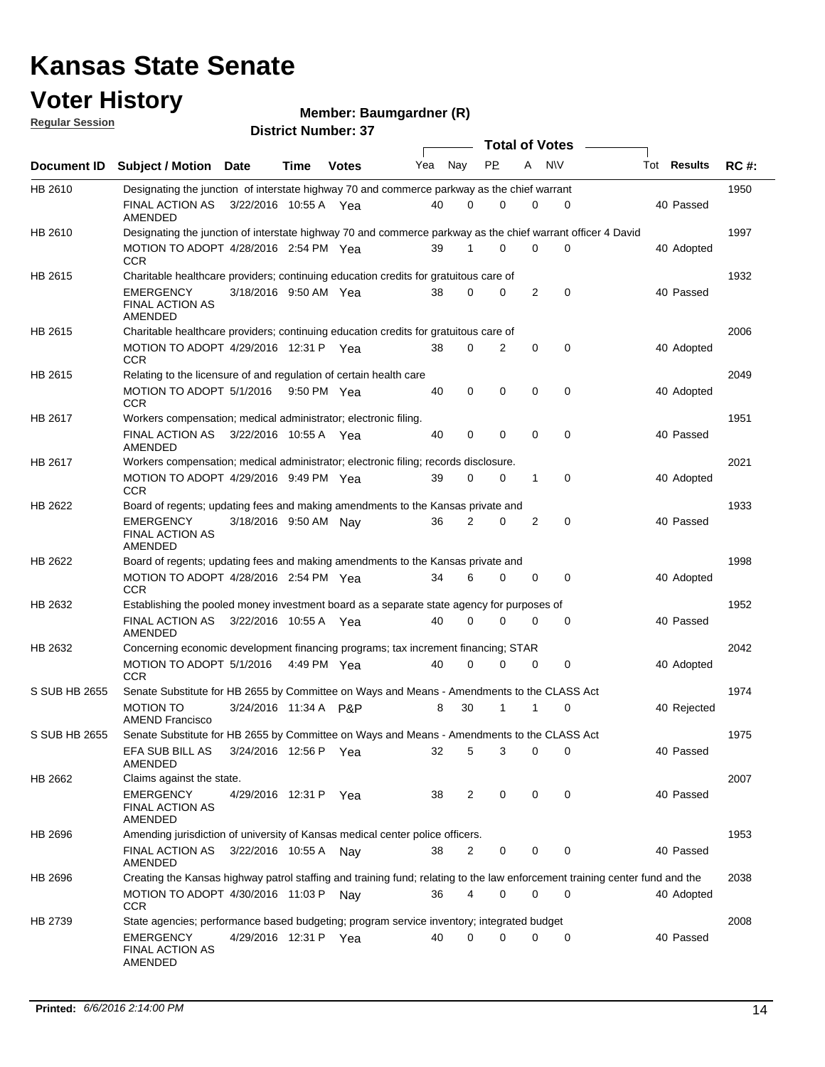### **Voter History**

**Member: Baumgardner (R)** 

**Regular Session**

|               |                                                                                                                             |                       |             |              |     |                | <b>Total of Votes</b> |   |             |                    |             |
|---------------|-----------------------------------------------------------------------------------------------------------------------------|-----------------------|-------------|--------------|-----|----------------|-----------------------|---|-------------|--------------------|-------------|
|               | Document ID Subject / Motion Date                                                                                           |                       | Time        | <b>Votes</b> | Yea | Nay            | <b>PP</b>             | A | N\V         | Tot <b>Results</b> | <b>RC#:</b> |
| HB 2610       | Designating the junction of interstate highway 70 and commerce parkway as the chief warrant                                 |                       |             |              |     |                |                       |   |             |                    | 1950        |
|               | FINAL ACTION AS<br>AMENDED                                                                                                  | 3/22/2016 10:55 A Yea |             |              | 40  | $\Omega$       | 0                     | 0 | 0           | 40 Passed          |             |
| HB 2610       | Designating the junction of interstate highway 70 and commerce parkway as the chief warrant officer 4 David                 |                       |             |              |     |                |                       |   |             |                    | 1997        |
|               | MOTION TO ADOPT 4/28/2016 2:54 PM Yea<br><b>CCR</b>                                                                         |                       |             |              | 39  | 1              | 0                     | 0 | 0           | 40 Adopted         |             |
| HB 2615       | Charitable healthcare providers; continuing education credits for gratuitous care of                                        |                       |             |              |     |                |                       |   |             |                    | 1932        |
|               | <b>EMERGENCY</b><br><b>FINAL ACTION AS</b><br>AMENDED                                                                       | 3/18/2016 9:50 AM Yea |             |              | 38  | $\Omega$       | 0                     | 2 | 0           | 40 Passed          |             |
| HB 2615       | Charitable healthcare providers; continuing education credits for gratuitous care of                                        |                       |             |              |     |                |                       |   |             |                    | 2006        |
|               | MOTION TO ADOPT 4/29/2016 12:31 P Yea<br><b>CCR</b>                                                                         |                       |             |              | 38  | 0              | 2                     | 0 | $\mathbf 0$ | 40 Adopted         |             |
| HB 2615       | Relating to the licensure of and regulation of certain health care                                                          |                       |             |              |     |                |                       |   |             |                    | 2049        |
|               | MOTION TO ADOPT 5/1/2016 9:50 PM Yea<br><b>CCR</b>                                                                          |                       |             |              | 40  | 0              | $\mathbf 0$           | 0 | 0           | 40 Adopted         |             |
| HB 2617       | Workers compensation; medical administrator; electronic filing.                                                             |                       |             |              |     |                |                       |   |             |                    | 1951        |
|               | FINAL ACTION AS<br>AMENDED                                                                                                  | 3/22/2016 10:55 A Yea |             |              | 40  | 0              | 0                     | 0 | 0           | 40 Passed          |             |
| HB 2617       | Workers compensation; medical administrator; electronic filing; records disclosure.                                         |                       |             |              |     |                |                       |   |             |                    | 2021        |
|               | MOTION TO ADOPT 4/29/2016 9:49 PM Yea<br><b>CCR</b>                                                                         |                       |             |              | 39  | 0              | 0                     | 1 | $\mathbf 0$ | 40 Adopted         |             |
| HB 2622       | Board of regents; updating fees and making amendments to the Kansas private and                                             |                       |             |              |     |                |                       |   |             |                    | 1933        |
|               | <b>EMERGENCY</b><br><b>FINAL ACTION AS</b><br>AMENDED                                                                       | 3/18/2016 9:50 AM Nay |             |              | 36  | 2              | 0                     | 2 | $\mathbf 0$ | 40 Passed          |             |
| HB 2622       | Board of regents; updating fees and making amendments to the Kansas private and                                             |                       |             |              |     |                |                       |   |             |                    | 1998        |
|               | MOTION TO ADOPT 4/28/2016 2:54 PM Yea<br><b>CCR</b>                                                                         |                       |             |              | 34  | 6              | 0                     | 0 | 0           | 40 Adopted         |             |
| HB 2632       | Establishing the pooled money investment board as a separate state agency for purposes of                                   |                       |             |              |     |                |                       |   |             |                    | 1952        |
|               | FINAL ACTION AS<br>AMENDED                                                                                                  | 3/22/2016 10:55 A Yea |             |              | 40  | 0              | 0                     | 0 | 0           | 40 Passed          |             |
| HB 2632       | Concerning economic development financing programs; tax increment financing; STAR                                           |                       |             |              |     |                |                       |   |             |                    | 2042        |
|               | MOTION TO ADOPT 5/1/2016<br><b>CCR</b>                                                                                      |                       | 4:49 PM Yea |              | 40  | 0              | 0                     | 0 | 0           | 40 Adopted         |             |
| S SUB HB 2655 | Senate Substitute for HB 2655 by Committee on Ways and Means - Amendments to the CLASS Act                                  |                       |             |              |     |                |                       |   |             |                    | 1974        |
|               | <b>MOTION TO</b><br><b>AMEND Francisco</b>                                                                                  | 3/24/2016 11:34 A P&P |             |              | 8   | 30             | 1                     | 1 | $\mathbf 0$ | 40 Rejected        |             |
| S SUB HB 2655 | Senate Substitute for HB 2655 by Committee on Ways and Means - Amendments to the CLASS Act                                  |                       |             |              |     |                |                       |   |             |                    | 1975        |
|               | EFA SUB BILL AS<br><b>AMENDED</b>                                                                                           | 3/24/2016 12:56 P Yea |             |              | 32  | 5              | 3                     | 0 | 0           | 40 Passed          |             |
| HB 2662       | Claims against the state.                                                                                                   |                       |             |              |     |                |                       |   |             |                    | 2007        |
|               | <b>EMERGENCY</b><br><b>FINAL ACTION AS</b><br>AMENDED                                                                       | 4/29/2016 12:31 P Yea |             |              | 38  | 2              | 0                     | 0 | 0           | 40 Passed          |             |
| HB 2696       | Amending jurisdiction of university of Kansas medical center police officers.                                               |                       |             |              |     |                |                       |   |             |                    | 1953        |
|               | FINAL ACTION AS<br>AMENDED                                                                                                  | 3/22/2016 10:55 A Nay |             |              | 38  | 2              | 0                     | 0 | $\mathbf 0$ | 40 Passed          |             |
| HB 2696       | Creating the Kansas highway patrol staffing and training fund; relating to the law enforcement training center fund and the |                       |             |              |     |                |                       |   |             |                    | 2038        |
|               | MOTION TO ADOPT 4/30/2016 11:03 P Nay<br><b>CCR</b>                                                                         |                       |             |              | 36  | $\overline{4}$ | 0                     | 0 | $\mathbf 0$ | 40 Adopted         |             |
| HB 2739       | State agencies; performance based budgeting; program service inventory; integrated budget                                   |                       |             |              |     |                |                       |   |             |                    | 2008        |
|               | <b>EMERGENCY</b><br><b>FINAL ACTION AS</b><br>AMENDED                                                                       | 4/29/2016 12:31 P Yea |             |              | 40  | 0              | 0                     | 0 | 0           | 40 Passed          |             |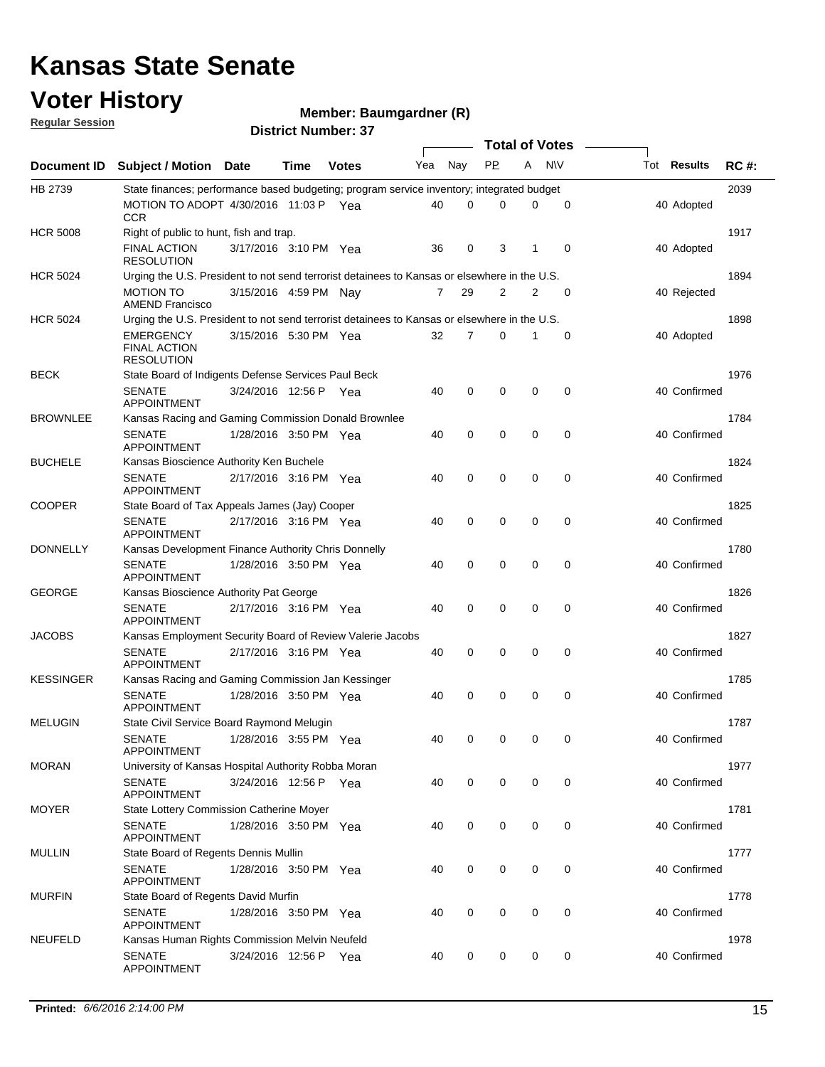### **Voter History**

**Regular Session**

#### **Member: Baumgardner (R)**

|                  |                                                                                              |                       |      |              |     |     | <b>Total of Votes</b> |                |             |                    |             |
|------------------|----------------------------------------------------------------------------------------------|-----------------------|------|--------------|-----|-----|-----------------------|----------------|-------------|--------------------|-------------|
| Document ID      | <b>Subject / Motion Date</b>                                                                 |                       | Time | <b>Votes</b> | Yea | Nay | <b>PP</b>             | A              | <b>NV</b>   | Tot <b>Results</b> | <b>RC#:</b> |
| HB 2739          | State finances; performance based budgeting; program service inventory; integrated budget    |                       |      |              |     |     |                       |                |             |                    | 2039        |
|                  | MOTION TO ADOPT 4/30/2016 11:03 P Yea<br><b>CCR</b>                                          |                       |      |              | 40  | 0   | 0                     | 0              | 0           | 40 Adopted         |             |
| <b>HCR 5008</b>  | Right of public to hunt, fish and trap.                                                      |                       |      |              |     |     |                       |                |             |                    | 1917        |
|                  | <b>FINAL ACTION</b><br><b>RESOLUTION</b>                                                     | 3/17/2016 3:10 PM Yea |      |              | 36  | 0   | 3                     | 1              | $\mathbf 0$ | 40 Adopted         |             |
| <b>HCR 5024</b>  | Urging the U.S. President to not send terrorist detainees to Kansas or elsewhere in the U.S. |                       |      |              |     |     |                       |                |             |                    | 1894        |
|                  | <b>MOTION TO</b><br><b>AMEND Francisco</b>                                                   | 3/15/2016 4:59 PM Nay |      |              | 7   | 29  | 2                     | $\overline{2}$ | $\mathbf 0$ | 40 Rejected        |             |
| <b>HCR 5024</b>  | Urging the U.S. President to not send terrorist detainees to Kansas or elsewhere in the U.S. |                       |      |              |     |     |                       |                |             |                    | 1898        |
|                  | EMERGENCY<br><b>FINAL ACTION</b><br><b>RESOLUTION</b>                                        | 3/15/2016 5:30 PM Yea |      |              | 32  | 7   | 0                     | 1              | 0           | 40 Adopted         |             |
| <b>BECK</b>      | State Board of Indigents Defense Services Paul Beck                                          |                       |      |              |     |     |                       |                |             |                    | 1976        |
|                  | <b>SENATE</b><br><b>APPOINTMENT</b>                                                          | 3/24/2016 12:56 P Yea |      |              | 40  | 0   | $\mathbf 0$           | $\mathbf 0$    | 0           | 40 Confirmed       |             |
| <b>BROWNLEE</b>  | Kansas Racing and Gaming Commission Donald Brownlee                                          |                       |      |              |     |     |                       |                |             |                    | 1784        |
|                  | <b>SENATE</b><br><b>APPOINTMENT</b>                                                          | 1/28/2016 3:50 PM Yea |      |              | 40  | 0   | 0                     | 0              | $\mathbf 0$ | 40 Confirmed       |             |
| <b>BUCHELE</b>   | Kansas Bioscience Authority Ken Buchele                                                      |                       |      |              |     |     |                       |                |             |                    | 1824        |
|                  | <b>SENATE</b><br><b>APPOINTMENT</b>                                                          | 2/17/2016 3:16 PM Yea |      |              | 40  | 0   | $\mathbf 0$           | $\mathbf 0$    | $\mathbf 0$ | 40 Confirmed       |             |
| <b>COOPER</b>    | State Board of Tax Appeals James (Jay) Cooper                                                |                       |      |              |     |     |                       |                |             |                    | 1825        |
|                  | <b>SENATE</b><br><b>APPOINTMENT</b>                                                          | 2/17/2016 3:16 PM Yea |      |              | 40  | 0   | 0                     | 0              | $\mathbf 0$ | 40 Confirmed       |             |
| <b>DONNELLY</b>  | Kansas Development Finance Authority Chris Donnelly                                          |                       |      |              |     |     |                       |                |             |                    | 1780        |
|                  | <b>SENATE</b><br><b>APPOINTMENT</b>                                                          | 1/28/2016 3:50 PM Yea |      |              | 40  | 0   | 0                     | $\mathbf 0$    | $\mathbf 0$ | 40 Confirmed       |             |
| <b>GEORGE</b>    | Kansas Bioscience Authority Pat George                                                       |                       |      |              |     |     |                       |                |             |                    | 1826        |
|                  | <b>SENATE</b><br><b>APPOINTMENT</b>                                                          | 2/17/2016 3:16 PM Yea |      |              | 40  | 0   | 0                     | 0              | 0           | 40 Confirmed       |             |
| <b>JACOBS</b>    | Kansas Employment Security Board of Review Valerie Jacobs                                    |                       |      |              |     |     |                       |                |             |                    | 1827        |
|                  | <b>SENATE</b><br><b>APPOINTMENT</b>                                                          | 2/17/2016 3:16 PM Yea |      |              | 40  | 0   | 0                     | 0              | $\mathbf 0$ | 40 Confirmed       |             |
| <b>KESSINGER</b> | Kansas Racing and Gaming Commission Jan Kessinger                                            |                       |      |              |     |     |                       |                |             |                    | 1785        |
|                  | <b>SENATE</b><br><b>APPOINTMENT</b>                                                          | 1/28/2016 3:50 PM Yea |      |              | 40  | 0   | 0                     | 0              | $\mathbf 0$ | 40 Confirmed       |             |
| <b>MELUGIN</b>   | State Civil Service Board Raymond Melugin                                                    |                       |      |              |     |     |                       |                |             |                    | 1787        |
|                  | <b>SENATE</b><br><b>APPOINTMENT</b>                                                          | 1/28/2016 3:55 PM Yea |      |              | 40  | 0   | 0                     | 0              | 0           | 40 Confirmed       |             |
| <b>MORAN</b>     | University of Kansas Hospital Authority Robba Moran<br><b>SENATE</b>                         | 3/24/2016 12:56 P Yea |      |              |     |     |                       | 0              |             | 40 Confirmed       | 1977        |
|                  | <b>APPOINTMENT</b>                                                                           |                       |      |              | 40  | 0   | 0                     |                | 0           |                    |             |
| <b>MOYER</b>     | State Lottery Commission Catherine Moyer<br><b>SENATE</b>                                    |                       |      |              |     |     |                       |                |             |                    | 1781        |
|                  | <b>APPOINTMENT</b>                                                                           | 1/28/2016 3:50 PM Yea |      |              | 40  | 0   | 0                     | 0              | 0           | 40 Confirmed       |             |
| <b>MULLIN</b>    | State Board of Regents Dennis Mullin                                                         |                       |      |              |     |     |                       |                |             |                    | 1777        |
|                  | <b>SENATE</b><br><b>APPOINTMENT</b>                                                          | 1/28/2016 3:50 PM Yea |      |              | 40  | 0   | 0                     | 0              | $\mathbf 0$ | 40 Confirmed       |             |
| <b>MURFIN</b>    | State Board of Regents David Murfin<br><b>SENATE</b>                                         |                       |      |              |     |     |                       |                |             |                    | 1778        |
| <b>NEUFELD</b>   | <b>APPOINTMENT</b>                                                                           | 1/28/2016 3:50 PM Yea |      |              | 40  | 0   | 0                     | 0              | 0           | 40 Confirmed       | 1978        |
|                  | Kansas Human Rights Commission Melvin Neufeld<br><b>SENATE</b>                               | 3/24/2016 12:56 P Yea |      |              | 40  | 0   | 0                     | 0              | 0           | 40 Confirmed       |             |
|                  | APPOINTMENT                                                                                  |                       |      |              |     |     |                       |                |             |                    |             |